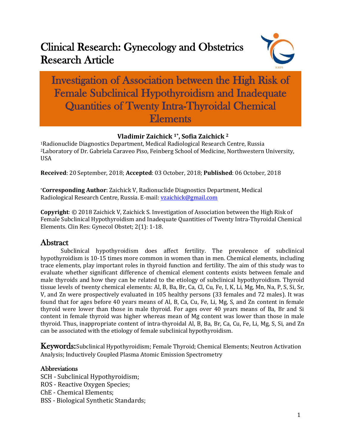# Clinical Research: Gynecology and Obstetrics Research Article



Investigation of Association between the High Risk of Female Subclinical Hypothyroidism and Inadequate Quantities of Twenty Intra-Thyroidal Chemical Elements

## **Vladimir Zaichick 1\*, Sofia Zaichick <sup>2</sup>**

<sup>1</sup>Radionuclide Diagnostics Department, Medical Radiological Research Centre, Russia <sup>2</sup>Laboratory of Dr. Gabriela Caraveo Piso, Feinberg School of Medicine, Northwestern University, USA

**Received**: 20 September, 2018; **Accepted**: 03 October, 2018; **Published**: 06 October, 2018

\***Corresponding Author**: Zaichick V, Radionuclide Diagnostics Department, Medical Radiological Research Centre, Russia. E-mail: [vzaichick@gmail.com](mailto:vzaichick@gmail.com)

**Copyright**: © 2018 Zaichick V, Zaichick S. Investigation of Association between the High Risk of Female Subclinical Hypothyroidism and Inadequate Quantities of Twenty Intra-Thyroidal Chemical Elements. Clin Res: Gynecol Obstet; 2(1): 1-18.

## Abstract

Subclinical hypothyroidism does affect fertility. The prevalence of subclinical hypothyroidism is 10-15 times more common in women than in men. Chemical elements, including trace elements, play important roles in thyroid function and fertility. The aim of this study was to evaluate whether significant difference of chemical element contents exists between female and male thyroids and how they can be related to the etiology of subclinical hypothyroidism. Thyroid tissue levels of twenty chemical elements: Al, B, Ba, Br, Ca, Cl, Cu, Fe, I, K, Li, Mg, Mn, Na, P, S, Si, Sr, V, and Zn were prospectively evaluated in 105 healthy persons (33 females and 72 males). It was found that for ages before 40 years means of Al, B, Ca, Cu, Fe, Li, Mg, S, and Zn content in female thyroid were lower than those in male thyroid. For ages over 40 years means of Ba, Br and Si content in female thyroid was higher whereas mean of Mg content was lower than those in male thyroid. Thus, inappropriate content of intra-thyroidal Al, B, Ba, Br, Ca, Cu, Fe, Li, Mg, S, Si, and Zn can be associated with the etiology of female subclinical hypothyroidism.

Keywords: Subclinical Hypothyroidism; Female Thyroid; Chemical Elements; Neutron Activation Analysis; Inductively Coupled Plasma Atomic Emission Spectrometry

#### **Abbreviations**

SCH - Subclinical Hypothyroidism;

- ROS Reactive Oxygen Species;
- ChE Chemical Elements;
- BSS Biological Synthetic Standards;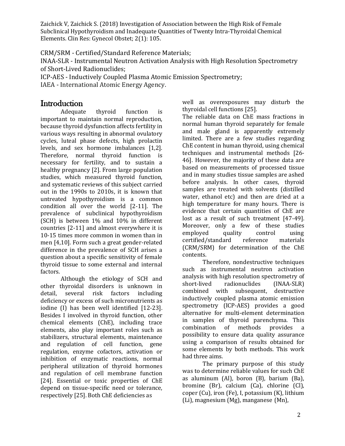CRM/SRM - Certified/Standard Reference Materials;

INAA-SLR - Instrumental Neutron Activation Analysis with High Resolution Spectrometry of Short-Lived Radionuclides;

ICP-AES - Inductively Coupled Plasma Atomic Emission Spectrometry;

IAEA - International Atomic Energy Agency.

# **Introduction**

Adequate thyroid function is important to maintain normal reproduction, because thyroid dysfunction affects fertility in various ways resulting in abnormal ovulatory cycles, luteal phase defects, high prolactin levels, and sex hormone imbalances [1,2]. Therefore, normal thyroid function is necessary for fertility, and to sustain a healthy pregnancy [2]. From large population studies, which measured thyroid function, and systematic reviews of this subject carried out in the 1990s to 2010s, it is known that untreated hypothyroidism is a common condition all over the world [2-11]. The prevalence of subclinical hypothyroidism (SCH) is between 1% and 10% in different countries [2-11] and almost everywhere it is 10-15 times more common in women than in men [4,10]. Form such a great gender-related difference in the prevalence of SCH arises a question about a specific sensitivity of female thyroid tissue to some external and internal factors.

Although the etiology of SCH and other thyroidal disorders is unknown in detail, several risk factors including deficiency or excess of such micronutrients as iodine (I) has been well identified [12-23]. Besides I involved in thyroid function, other chemical elements (ChE), including trace elements, also play important roles such as stabilizers, structural elements, maintenance and regulation of cell function, gene regulation, enzyme cofactors, activation or inhibition of enzymatic reactions, normal peripheral utilization of thyroid hormones and regulation of cell membrane function [24]. Essential or toxic properties of ChE depend on tissue-specific need or tolerance, respectively [25]. Both ChE deficiencies as

well as overexposures may disturb the thyroidal cell functions [25].

The reliable data on ChE mass fractions in normal human thyroid separately for female and male gland is apparently extremely limited. There are a few studies regarding ChE content in human thyroid, using chemical techniques and instrumental methods [26- 46]. However, the majority of these data are based on measurements of processed tissue and in many studies tissue samples are ashed before analysis. In other cases, thyroid samples are treated with solvents (distilled water, ethanol etc) and then are dried at a high temperature for many hours. There is evidence that certain quantities of ChE are lost as a result of such treatment [47-49]. Moreover, only a few of these studies employed quality control using certified/standard reference materials (CRM/SRM) for determination of the ChE contents.

Therefore, nondestructive techniques such as instrumental neutron activation analysis with high resolution spectrometry of short-lived radionuclides (INAA-SLR) combined with subsequent, destructive inductively coupled plasma atomic emission spectrometry (ICP-AES) provides a good alternative for multi-element determination in samples of thyroid parenchyma. This combination of methods provides a possibility to ensure data quality assurance using a comparison of results obtained for some elements by both methods. This work had three aims.

The primary purpose of this study was to determine reliable values for such ChE as aluminum (Al), boron (B), barium (Ba), bromine (Br), calcium (Ca), chlorine (Cl), coper (Cu), iron (Fe), I, potassium (K), lithium (Li), magnesium (Mg), manganese (Mn),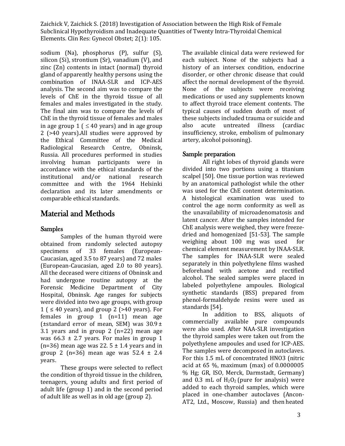sodium (Na), phosphorus (P), sulfur (S), silicon (Si), strontium (Sr), vanadium (V), and zinc (Zn) contents in intact (normal) thyroid gland of apparently healthy persons using the combination of INAA-SLR and ICP-AES analysis. The second aim was to compare the levels of ChE in the thyroid tissue of all females and males investigated in the study. The final aim was to compare the levels of ChE in the thyroid tissue of females and males in age group  $1$  (  $\leq$  40 years) and in age group 2 (>40 years).All studies were approved by the Ethical Committee of the Medical Radiological Research Centre, Obninsk, Russia. All procedures performed in studies involving human participants were in accordance with the ethical standards of the institutional and/or national research committee and with the 1964 Helsinki declaration and its later amendments or comparable ethical standards.

# Material and Methods

#### Samples

Samples of the human thyroid were obtained from randomly selected autopsy specimens of 33 females (European-Caucasian, aged 3.5 to 87 years) and 72 males (European-Caucasian, aged 2.0 to 80 years). All the deceased were citizens of Obninsk and had undergone routine autopsy at the Forensic Medicine Department of City Hospital, Obninsk. Age ranges for subjects were divided into two age groups, with group  $1$  (  $\leq$  40 years), and group 2 (>40 years). For females in group 1 (n=11) mean age (±standard error of mean, SEM) was 30.9± 3.1 years and in group 2 (n=22) mean age was  $66.3 \pm 2.7$  years. For males in group 1 (n=36) mean age was 22.  $5 \pm 1.4$  years and in group 2 (n=36) mean age was  $52.4 \pm 2.4$ years.

These groups were selected to reflect the condition of thyroid tissue in the children, teenagers, young adults and first period of adult life (group 1) and in the second period of adult life as well as in old age (group 2).

The available clinical data were reviewed for each subject. None of the subjects had a history of an intersex condition, endocrine disorder, or other chronic disease that could affect the normal development of the thyroid. None of the subjects were receiving medications or used any supplements known to affect thyroid trace element contents. The typical causes of sudden death of most of these subjects included trauma or suicide and also acute untreated illness (cardiac insufficiency, stroke, embolism of pulmonary artery, alcohol poisoning).

#### Sample preparation

All right lobes of thyroid glands were divided into two portions using a titanium scalpel [50]. One tissue portion was reviewed by an anatomical pathologist while the other was used for the ChE content determination. A histological examination was used to control the age norm conformity as well as the unavailability of microadenomatosis and latent cancer. After the samples intended for ChE analysis were weighed, they were freezedried and homogenized [51-53]. The sample weighing about 100 mg was used for chemical element measurement by INAA-SLR. The samples for INAA-SLR were sealed separately in thin polyethylene films washed beforehand with acetone and rectified alcohol. The sealed samples were placed in labeled polyethylene ampoules. Biological synthetic standards (BSS) prepared from phenol-formaldehyde resins were used as standards [54].

In addition to BSS, aliquots of commercially available pure compounds were also used. After NAA-SLR investigation the thyroid samples were taken out from the polyethylene ampoules and used for ICP-AES. The samples were decomposed in autoclaves. For this 1.5 mL of concentrated HNO3 (nitric acid at 65 %, maximum (max) of 0.0000005 % Hg; GR, ISO, Merck, Darmstadt, Germany) and 0.3 mL of  $H_2O_2$  (pure for analysis) were added to each thyroid samples, which were placed in one-chamber autoclaves (Ancon-AT2, Ltd., Moscow, Russia) and then heated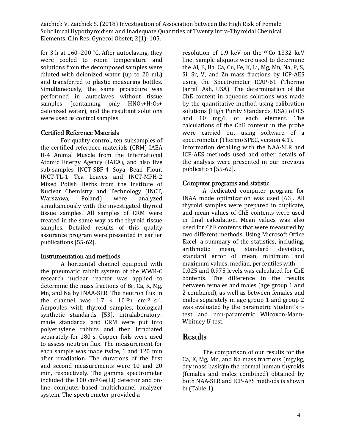for 3 h at 160–200 °C. After autoclaving, they were cooled to room temperature and solutions from the decomposed samples were diluted with deionized water (up to 20 mL) and transferred to plastic measuring bottles. Simultaneously, the same procedure was performed in autoclaves without tissue samples (containing only  $HNO<sub>3</sub>+H<sub>2</sub>O<sub>2</sub>$ + deionized water), and the resultant solutions were used as control samples.

#### Certified Reference Materials

For quality control, ten subsamples of the certified reference materials (CRM) IAEA H-4 Animal Muscle from the International Atomic Energy Agency (IAEA), and also five sub-samples INCT-SBF-4 Soya Bean Flour, INCT-TL-1 Tea Leaves and INCT-MPH-2 Mixed Polish Herbs from the Institute of Nuclear Chemistry and Technology (INCT, Warszawa, Poland) were analyzed simultaneously with the investigated thyroid tissue samples. All samples of CRM were treated in the same way as the thyroid tissue samples. Detailed results of this quality assurance program were presented in earlier publications [55-62].

#### Instrumentation and methods

A horizontal channel equipped with the pneumatic rabbit system of the WWR-C research nuclear reactor was applied to determine the mass fractions of Br, Ca, K, Mg, Mn, and Na by INAA-SLR. The neutron flux in the channel was  $1.7 \times 10^{13}$ n cm<sup>-2</sup> s<sup>-1</sup>. Ampoules with thyroid samples, biological synthetic standards [53], intralaboratorymade standards, and CRM were put into polyethylene rabbits and then irradiated separately for 180 s. Copper foils were used to assess neutron flux. The measurement for each sample was made twice, 1 and 120 min after irradiation. The durations of the first and second measurements were 10 and 20 min, respectively. The gamma spectrometer included the 100 cm3 Ge(Li) detector and online computer-based multichannel analyzer system. The spectrometer provided a

resolution of 1.9 keV on the 60Co 1332 keV line. Sample aliquots were used to determine the Al, B, Ba, Ca, Cu, Fe, K, Li, Mg, Mn, Na, P, S, Si, Sr, V, and Zn mass fractions by ICP-AES using the Spectrometer ICAP-61 (Thermo Jarrell Ash, USA). The determination of the ChE content in aqueous solutions was made by the quantitative method using calibration solutions (High Purity Standards, USA) of 0.5 and 10 mg/L of each element. The calculations of the ChE content in the probe were carried out using software of a spectrometer (Thermo SPEC, version 4.1). Information detailing with the NAA-SLR and ICP-AES methods used and other details of the analysis were presented in our previous publication [55-62].

#### Computer programs and statistic

A dedicated computer program for INAA mode optimization was used [63]. All thyroid samples were prepared in duplicate, and mean values of ChE contents were used in final calculation. Mean values was also used for ChE contents that were measured by two different methods. Using Microsoft Office Excel, a summary of the statistics, including, arithmetic mean, standard deviation, standard error of mean, minimum and maximum values, median, percentiles with 0.025 and 0.975 levels was calculated for ChE contents. The difference in the results between females and males (age group 1 and 2 combined), as well as between females and males separately in age group 1 and group 2 was evaluated by the parametric Student's ttest and non-parametric Wilcoxon-Mann-Whitney *U*-test.

### **Results**

The comparison of our results for the Ca, K, Mg, Mn, and Na mass fractions (mg/kg, dry mass basis)in the normal human thyroids (females and males combined) obtained by both NAA-SLR and ICP-AES methods is shown in (Table 1).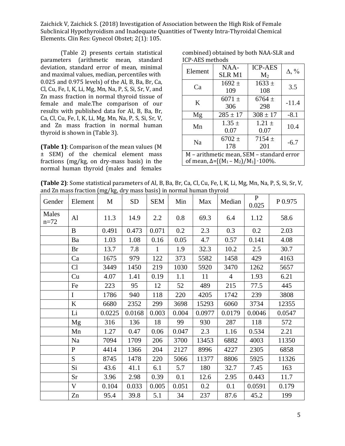(Table 2) presents certain statistical parameters (arithmetic mean, standard deviation, standard error of mean, minimal and maximal values, median, percentiles with 0.025 and 0.975 levels) of the Al, B, Ba, Br, Ca, Cl, Cu, Fe, I, K, Li, Mg, Mn, Na, P, S, Si, Sr, V, and Zn mass fraction in normal thyroid tissue of female and male.The comparison of our results with published data for Al, B, Ba, Br, Ca, Cl, Cu, Fe, I, K, Li, Mg, Mn, Na, P, S, Si, Sr, V, and Zn mass fraction in normal human thyroid is shown in (Table 3).

**(Table 1)**: Comparison of the mean values (M ± SEM) of the chemical element mass fractions (mg/kg, on dry-mass basis) in the normal human thyroid (males and females

combined) obtained by both NAA-SLR and ICP-AES methods

| Element                                                                                          | NAA-<br><b>SLRM1</b> | <b>ICP-AES</b><br>$M_2$ | $\Delta$ , % |  |  |  |
|--------------------------------------------------------------------------------------------------|----------------------|-------------------------|--------------|--|--|--|
| Ca                                                                                               | $1692 \pm$<br>109    | $1633 \pm$<br>108       | 3.5          |  |  |  |
| K                                                                                                | $6071 \pm$<br>306    | $6764 \pm$<br>298       | $-11.4$      |  |  |  |
| Mg                                                                                               | $285 \pm 17$         | $308 \pm 17$            | $-8.1$       |  |  |  |
| Mn                                                                                               | $1.35 \pm$<br>0.07   | $1.21 \pm$<br>0.07      | 10.4         |  |  |  |
| Na                                                                                               | $6702 \pm$<br>178    | $7154 \pm$<br>201       | $-6.7$       |  |  |  |
| M - arithmetic mean, SEM - standard error<br>of mean, $\Delta = [(M_1 - M_2)/M_1] \cdot 100\%$ . |                      |                         |              |  |  |  |

**(Table 2)**: Some statistical parameters of Al, B, Ba, Br, Ca, Cl, Cu, Fe, I, K, Li, Mg, Mn, Na, P, S, Si, Sr, V, and Zn mass fraction (mg/kg, dry mass basis) in normal human thyroid

| Gender            | Element      | M      | <b>SD</b> | <b>SEM</b>   | Min   | Max    | Median         | $\mathbf{P}$<br>0.025 | P 0.975 |
|-------------------|--------------|--------|-----------|--------------|-------|--------|----------------|-----------------------|---------|
| Males<br>$n = 72$ | Al           | 11.3   | 14.9      | 2.2          | 0.8   | 69.3   | 6.4            | 1.12                  | 58.6    |
|                   | B            | 0.491  | 0.473     | 0.071        | 0.2   | 2.3    | 0.3            | 0.2                   | 2.03    |
|                   | Ba           | 1.03   | 1.08      | 0.16         | 0.05  | 4.7    | 0.57           | 0.141                 | 4.08    |
|                   | <b>Br</b>    | 13.7   | 7.8       | $\mathbf{1}$ | 1.9   | 32.3   | 10.2           | 2.5                   | 30.7    |
|                   | Ca           | 1675   | 979       | 122          | 373   | 5582   | 1458           | 429                   | 4163    |
|                   | Cl           | 3449   | 1450      | 219          | 1030  | 5920   | 3470           | 1262                  | 5657    |
|                   | Cu           | 4.07   | 1.41      | 0.19         | 1.1   | 11     | $\overline{4}$ | 1.93                  | 6.21    |
|                   | Fe           | 223    | 95        | 12           | 52    | 489    | 215            | 77.5                  | 445     |
|                   | I            | 1786   | 940       | 118          | 220   | 4205   | 1742           | 239                   | 3808    |
|                   | $\bf K$      | 6680   | 2352      | 299          | 3698  | 15293  | 6060           | 3734                  | 12355   |
|                   | Li           | 0.0225 | 0.0168    | 0.003        | 0.004 | 0.0977 | 0.0179         | 0.0046                | 0.0547  |
|                   | Mg           | 316    | 136       | 18           | 99    | 930    | 287            | 118                   | 572     |
|                   | Mn           | 1.27   | 0.47      | 0.06         | 0.047 | 2.3    | 1.16           | 0.534                 | 2.21    |
|                   | Na           | 7094   | 1709      | 206          | 3700  | 13453  | 6882           | 4003                  | 11350   |
|                   | $\mathbf{P}$ | 4414   | 1366      | 204          | 2127  | 8996   | 4227           | 2305                  | 6858    |
|                   | S            | 8745   | 1478      | 220          | 5066  | 11377  | 8806           | 5925                  | 11326   |
|                   | Si           | 43.6   | 41.1      | 6.1          | 5.7   | 180    | 32.7           | 7.45                  | 163     |
|                   | Sr           | 3.96   | 2.98      | 0.39         | 0.1   | 12.6   | 2.95           | 0.443                 | 11.7    |
|                   | V            | 0.104  | 0.033     | 0.005        | 0.051 | 0.2    | 0.1            | 0.0591                | 0.179   |
|                   | Zn           | 95.4   | 39.8      | 5.1          | 34    | 237    | 87.6           | 45.2                  | 199     |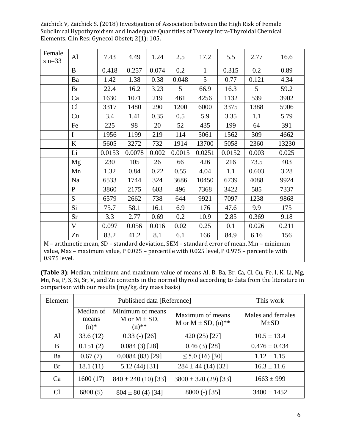| Female<br>s $n=33$                                                                                                                                                                                        | Al           | 7.43   | 4.49   | 1.24  | 2.5    | 17.2         | 5.5    | 2.77  | 16.6  |
|-----------------------------------------------------------------------------------------------------------------------------------------------------------------------------------------------------------|--------------|--------|--------|-------|--------|--------------|--------|-------|-------|
|                                                                                                                                                                                                           | B            | 0.418  | 0.257  | 0.074 | 0.2    | $\mathbf{1}$ | 0.315  | 0.2   | 0.89  |
|                                                                                                                                                                                                           | Ba           | 1.42   | 1.38   | 0.38  | 0.048  | 5            | 0.77   | 0.121 | 4.34  |
|                                                                                                                                                                                                           | <b>Br</b>    | 22.4   | 16.2   | 3.23  | 5      | 66.9         | 16.3   | 5     | 59.2  |
|                                                                                                                                                                                                           | Ca           | 1630   | 1071   | 219   | 461    | 4256         | 1132   | 539   | 3902  |
|                                                                                                                                                                                                           | Cl           | 3317   | 1480   | 290   | 1200   | 6000         | 3375   | 1388  | 5906  |
|                                                                                                                                                                                                           | Cu           | 3.4    | 1.41   | 0.35  | 0.5    | 5.9          | 3.35   | 1.1   | 5.79  |
|                                                                                                                                                                                                           | Fe           | 225    | 98     | 20    | 52     | 435          | 199    | 64    | 391   |
|                                                                                                                                                                                                           | I            | 1956   | 1199   | 219   | 114    | 5061         | 1562   | 309   | 4662  |
|                                                                                                                                                                                                           | $\bf K$      | 5605   | 3272   | 732   | 1914   | 13700        | 5058   | 2360  | 13230 |
|                                                                                                                                                                                                           | Li           | 0.0153 | 0.0078 | 0.002 | 0.0015 | 0.0251       | 0.0152 | 0.003 | 0.025 |
|                                                                                                                                                                                                           | Mg           | 230    | 105    | 26    | 66     | 426          | 216    | 73.5  | 403   |
|                                                                                                                                                                                                           | Mn           | 1.32   | 0.84   | 0.22  | 0.55   | 4.04         | 1.1    | 0.603 | 3.28  |
|                                                                                                                                                                                                           | Na           | 6533   | 1744   | 324   | 3686   | 10450        | 6739   | 4088  | 9924  |
|                                                                                                                                                                                                           | P            | 3860   | 2175   | 603   | 496    | 7368         | 3422   | 585   | 7337  |
|                                                                                                                                                                                                           | S            | 6579   | 2662   | 738   | 644    | 9921         | 7097   | 1238  | 9868  |
|                                                                                                                                                                                                           | Si           | 75.7   | 58.1   | 16.1  | 6.9    | 176          | 47.6   | 9.9   | 175   |
|                                                                                                                                                                                                           | Sr           | 3.3    | 2.77   | 0.69  | 0.2    | 10.9         | 2.85   | 0.369 | 9.18  |
|                                                                                                                                                                                                           | $\mathbf{V}$ | 0.097  | 0.056  | 0.016 | 0.02   | 0.25         | 0.1    | 0.026 | 0.211 |
|                                                                                                                                                                                                           | Zn           | 83.2   | 41.2   | 8.1   | 6.1    | 166          | 84.9   | 6.16  | 156   |
| M - arithmetic mean, SD - standard deviation, SEM - standard error of mean, Min - minimum<br>value, Max - maximum value, P 0.025 - percentile with 0.025 level, P 0.975 - percentile with<br>0.975 level. |              |        |        |       |        |              |        |       |       |

**(Table 3)**: Median, minimum and maximum value of means Al, B, Ba, Br, Ca, Cl, Cu, Fe, I, K, Li, Mg, Mn, Na, P, S, Si, Sr, V, and Zn contents in the normal thyroid according to data from the literature in comparison with our results (mg/kg, dry mass basis)

| Element        |                               | Published data [Reference]                        | This work                                               |                                |
|----------------|-------------------------------|---------------------------------------------------|---------------------------------------------------------|--------------------------------|
|                | Median of<br>means<br>$(n)$ * | Minimum of means<br>M or $M \pm SD$ ,<br>$(n)$ ** | Maximum of means<br>M or $M \pm SD$ , (n) <sup>**</sup> | Males and females<br>$M\pm SD$ |
| Al             | 33.6(12)                      | $0.33$ (-) [26]                                   | 420 (25) [27]                                           | $10.5 \pm 13.4$                |
| B              | 0.151(2)                      | $0.084(3)$ [28]                                   | $0.46(3)$ [28]                                          | $0.476 \pm 0.434$              |
| Ba             | 0.67(7)                       | $0.0084(83)$ [29]                                 | $\leq 5.0$ (16) [30]                                    | $1.12 \pm 1.15$                |
| Br             | 18.1(11)                      | 5.12(44)[31]                                      | $284 \pm 44$ (14) [32]                                  | $16.3 \pm 11.6$                |
| Ca             | 1600(17)                      | $840 \pm 240$ (10) [33]                           | $3800 \pm 320$ (29) [33]                                | $1663 \pm 999$                 |
| C <sub>1</sub> | 6800(5)                       | $804 \pm 80$ (4) [34]                             | $8000 (-) [35]$                                         | $3400 \pm 1452$                |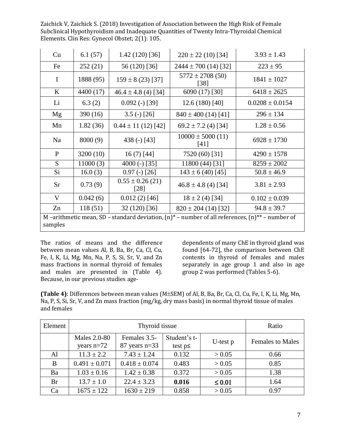| Cu                                                                                                              | 6.1(57)   | $1.42(120)$ [36]             | $220 \pm 22$ (10) [34]        | $3.93 \pm 1.43$     |  |  |
|-----------------------------------------------------------------------------------------------------------------|-----------|------------------------------|-------------------------------|---------------------|--|--|
| Fe                                                                                                              | 252(21)   | 56 (120) [36]                | $2444 \pm 700$ (14) [32]      | $223 \pm 95$        |  |  |
| $\mathbf I$                                                                                                     | 1888 (95) | $159 \pm 8(23)$ [37]         | $5772 \pm 2708$ (50)<br>[38]  | $1841 \pm 1027$     |  |  |
| K                                                                                                               | 4400 (17) | $46.4 \pm 4.8$ (4) [34]      | 6090 (17) [30]                | $6418 \pm 2625$     |  |  |
| Li                                                                                                              | 6.3(2)    | $0.092$ (-) [39]             | $12.6(180)$ [40]              | $0.0208 \pm 0.0154$ |  |  |
| Mg                                                                                                              | 390 (16)  | $3.5$ (-) [26]               | $840 \pm 400$ (14) [41]       | $296 \pm 134$       |  |  |
| Mn                                                                                                              | 1.82(36)  | $0.44 \pm 11(12)$ [42]       | $69.2 \pm 7.2$ (4) [34]       | $1.28 \pm 0.56$     |  |  |
| Na                                                                                                              | 8000 (9)  | 438 $(-)$ [43]               | $10000 \pm 5000$ (11)<br>[41] | $6928 \pm 1730$     |  |  |
| $\mathbf{P}$                                                                                                    | 3200(10)  | $16(7)$ [44]                 | 7520 (60) [31]                | $4290 \pm 1578$     |  |  |
| $\overline{S}$                                                                                                  | 11000(3)  | 4000 (-) $[35]$              | 11800 (44) [31]               | $8259 \pm 2002$     |  |  |
| Si                                                                                                              | 16.0(3)   | $0.97$ (-) [26]              | $143 \pm 6$ (40) [45]         | $50.8 \pm 46.9$     |  |  |
| <b>Sr</b>                                                                                                       | 0.73(9)   | $0.55 \pm 0.26$ (21)<br>[28] | $46.8 \pm 4.8$ (4) [34]       | $3.81 \pm 2.93$     |  |  |
| V                                                                                                               | 0.042(6)  | $0.012(2)$ [46]              | $18 \pm 2$ (4) [34]           | $0.102 \pm 0.039$   |  |  |
| Zn                                                                                                              | 118(51)   | 32 (120) [36]                | $820 \pm 204$ (14) [32]       | $94.8 \pm 39.7$     |  |  |
| M –arithmetic mean, SD – standard deviation, $(n)^*$ – number of all references, $(n)^*$ – number of<br>samples |           |                              |                               |                     |  |  |

The ratios of means and the difference between mean values Al, B, Ba, Br, Ca, Cl, Cu, Fe, I, K, Li, Mg, Mn, Na, P, S, Si, Sr, V, and Zn mass fractions in normal thyroid of females and males are presented in (Table 4). Because, in our previous studies age-

dependents of many ChE in thyroid gland was found [64-72], the comparison between ChE contents in thyroid of females and males separately in age group 1 and also in age group 2 was performed (Tables 5-6).

**(Table 4)**: Differences between mean values (M±SEM) of Al, B, Ba, Br, Ca, Cl, Cu, Fe, I, K, Li, Mg, Mn, Na, P, S, Si, Sr, V, and Zn mass fraction (mg/kg, dry mass basis) in normal thyroid tissue of males and females

| Element   |                              | Ratio                           |                               |             |                         |
|-----------|------------------------------|---------------------------------|-------------------------------|-------------|-------------------------|
|           | Males 2.0-80<br>years $n=72$ | Females 3.5-<br>$87$ years n=33 | Student's t-<br>test $p \leq$ | U-test $p$  | <b>Females to Males</b> |
| Al        | $11.3 \pm 2.2$               | $7.43 \pm 1.24$                 | 0.132                         | > 0.05      | 0.66                    |
| B         | $0.491 \pm 0.071$            | $0.418 \pm 0.074$               | 0.483                         | > 0.05      | 0.85                    |
| Ba        | $1.03 \pm 0.16$              | $1.42 \pm 0.38$                 | 0.372                         | > 0.05      | 1.38                    |
| <b>Br</b> | $13.7 \pm 1.0$               | $22.4 \pm 3.23$                 | 0.016                         | $\leq 0.01$ | 1.64                    |
| Ca        | $1675 \pm 122$               | $1630 \pm 219$                  | 0.858                         | > 0.05      | 0.97                    |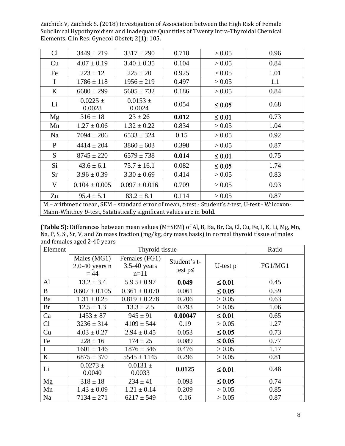| Cl           | $3449 \pm 219$                                                                                                                                                                  | $3317 \pm 290$         | 0.718 | > 0.05      | 0.96 |  |  |  |
|--------------|---------------------------------------------------------------------------------------------------------------------------------------------------------------------------------|------------------------|-------|-------------|------|--|--|--|
| Cu           | $4.07 \pm 0.19$                                                                                                                                                                 | $3.40 \pm 0.35$        | 0.104 | > 0.05      | 0.84 |  |  |  |
| Fe           | $223 \pm 12$                                                                                                                                                                    | $225 \pm 20$           | 0.925 | > 0.05      | 1.01 |  |  |  |
| $\mathbf I$  | $1786 \pm 118$                                                                                                                                                                  | $1956 \pm 219$         | 0.497 | > 0.05      | 1.1  |  |  |  |
| K            | $6680 \pm 299$                                                                                                                                                                  | $5605 \pm 732$         | 0.186 | > 0.05      | 0.84 |  |  |  |
| Li           | $0.0225 \pm$<br>0.0028                                                                                                                                                          | $0.0153 \pm$<br>0.0024 | 0.054 | $\leq 0.05$ | 0.68 |  |  |  |
| Mg           | $316 \pm 18$                                                                                                                                                                    | $23 \pm 26$            | 0.012 | $\leq 0.01$ | 0.73 |  |  |  |
| Mn           | $1.27 \pm 0.06$                                                                                                                                                                 | $1.32 \pm 0.22$        | 0.834 | > 0.05      | 1.04 |  |  |  |
| Na           | $7094 \pm 206$                                                                                                                                                                  | $6533 \pm 324$         | 0.15  | > 0.05      | 0.92 |  |  |  |
| $\mathbf{P}$ | $4414 \pm 204$                                                                                                                                                                  | $3860 \pm 603$         | 0.398 | > 0.05      | 0.87 |  |  |  |
| S            | $8745 \pm 220$                                                                                                                                                                  | $6579 \pm 738$         | 0.014 | $\leq 0.01$ | 0.75 |  |  |  |
| Si           | $43.6 \pm 6.1$                                                                                                                                                                  | $75.7 \pm 16.1$        | 0.082 | $\leq 0.05$ | 1.74 |  |  |  |
| <b>Sr</b>    | $3.96 \pm 0.39$                                                                                                                                                                 | $3.30 \pm 0.69$        | 0.414 | > 0.05      | 0.83 |  |  |  |
| V            | $0.104 \pm 0.005$                                                                                                                                                               | $0.097 \pm 0.016$      | 0.709 | > 0.05      | 0.93 |  |  |  |
| Zn           | 0.114<br>$95.4 \pm 5.1$<br>$83.2 \pm 8.1$<br>0.87<br>> 0.05                                                                                                                     |                        |       |             |      |  |  |  |
|              | M - arithmetic mean, SEM - standard error of mean, t-test - Student's t-test, U-test - Wilcoxon-<br>Mann-Whitney U-test, Sstatistically significant values are in <b>bold</b> . |                        |       |             |      |  |  |  |

**(Table 5)**: Differences between mean values (M±SEM) of Al, B, Ba, Br, Ca, Cl, Cu, Fe, I, K, Li, Mg, Mn, Na, P, S, Si, Sr, V, and Zn mass fraction (mg/kg, dry mass basis) in normal thyroid tissue of males and females aged 2-40 years

| Element        |                                             | Thyroid tissue                            |                               |             | Ratio   |
|----------------|---------------------------------------------|-------------------------------------------|-------------------------------|-------------|---------|
|                | Males (MG1)<br>$2.0 - 40$ years n<br>$= 44$ | Females (FG1)<br>$3.5-40$ years<br>$n=11$ | Student's t-<br>test $p \leq$ | U-test p    | FG1/MG1 |
| Al             | $13.2 \pm 3.4$                              | $5.95 \pm 0.97$                           | 0.049                         | $\leq 0.01$ | 0.45    |
| B              | $0.607 \pm 0.105$                           | $0.361 \pm 0.070$                         | 0.061                         | $\leq 0.05$ | 0.59    |
| Ba             | $1.31 \pm 0.25$                             | $0.819 \pm 0.278$                         | 0.206                         | > 0.05      | 0.63    |
| Br             | $12.5 \pm 1.3$                              | $13.3 \pm 2.5$                            | 0.793                         | > 0.05      | 1.06    |
| Ca             | $1453 \pm 87$                               | $945 \pm 91$                              | 0.00047                       | $\leq 0.01$ | 0.65    |
| C <sub>1</sub> | $3236 \pm 314$                              | $4109 \pm 544$                            | 0.19                          | > 0.05      | 1.27    |
| Cu             | $4.03 \pm 0.27$                             | $2.94 \pm 0.45$                           | 0.053                         | $\leq 0.05$ | 0.73    |
| Fe             | $228 \pm 16$                                | $174 \pm 25$                              | 0.089                         | $\leq 0.05$ | 0.77    |
| I              | $1601 \pm 146$                              | $1876 \pm 346$                            | 0.476                         | > 0.05      | 1.17    |
| K              | $6875 \pm 370$                              | $5545 \pm 1145$                           | 0.296                         | > 0.05      | 0.81    |
| Li             | $0.0273 \pm$<br>0.0040                      | $0.0131 \pm$<br>0.0033                    | 0.0125                        | $\leq 0.01$ | 0.48    |
| Mg             | $318 \pm 18$                                | $234 \pm 41$                              | 0.093                         | $\leq 0.05$ | 0.74    |
| Mn             | $1.43 \pm 0.09$                             | $1.21 \pm 0.14$                           | 0.209                         | > 0.05      | 0.85    |
| Na             | $7134 \pm 271$                              | $6217 \pm 549$                            | 0.16                          | > 0.05      | 0.87    |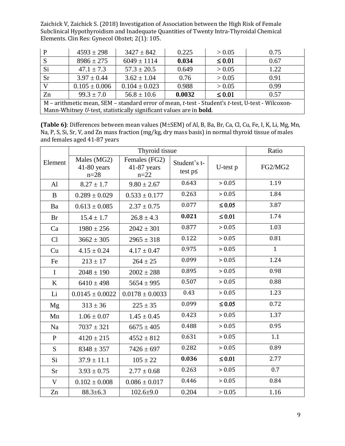| P                                                                                                | $4593 \pm 298$    | $3427 \pm 842$                                                             | 0.225 | > 0.05      | 0.75 |  |  |
|--------------------------------------------------------------------------------------------------|-------------------|----------------------------------------------------------------------------|-------|-------------|------|--|--|
| S                                                                                                | $8986 \pm 275$    | $6049 \pm 1114$                                                            | 0.034 | $\leq 0.01$ | 0.67 |  |  |
| Si                                                                                               | $47.1 \pm 7.3$    | $57.3 \pm 20.5$                                                            | 0.649 | > 0.05      | 1.22 |  |  |
| <b>Sr</b>                                                                                        | $3.97 \pm 0.44$   | $3.62 \pm 1.04$                                                            | 0.76  | > 0.05      | 0.91 |  |  |
| V                                                                                                | $0.105 \pm 0.006$ | $0.104 \pm 0.023$                                                          | 0.988 | > 0.05      | 0.99 |  |  |
| $99.3 \pm 7.0$<br>Zn<br>$56.8 \pm 10.6$<br>0.0032<br>$\leq 0.01$<br>0.57                         |                   |                                                                            |       |             |      |  |  |
| M - arithmetic mean, SEM - standard error of mean, t-test - Student's t-test, U-test - Wilcoxon- |                   |                                                                            |       |             |      |  |  |
|                                                                                                  |                   | Mann-Whitney U-test, statistically significant values are in <b>bold</b> . |       |             |      |  |  |

**(Table 6)**: Differences between mean values (M±SEM) of Al, B, Ba, Br, Ca, Cl, Cu, Fe, I, K, Li, Mg, Mn, Na, P, S, Si, Sr, V, and Zn mass fraction (mg/kg, dry mass basis) in normal thyroid tissue of males and females aged 41-87 years

|              |                                      | Ratio                                      |                               |             |              |
|--------------|--------------------------------------|--------------------------------------------|-------------------------------|-------------|--------------|
| Element      | Males (MG2)<br>41-80 years<br>$n=28$ | Females (FG2)<br>$41-87$ years<br>$n = 22$ | Student's t-<br>test $p \leq$ | U-test p    | FG2/MG2      |
| Al           | $8.27 \pm 1.7$                       | $9.80 \pm 2.67$                            | 0.643                         | > 0.05      | 1.19         |
| B            | $0.289 \pm 0.029$                    | $0.533 \pm 0.177$                          | 0.263                         | > 0.05      | 1.84         |
| Ba           | $0.613 \pm 0.085$                    | $2.37 \pm 0.75$                            | 0.077                         | $\leq 0.05$ | 3.87         |
| <b>Br</b>    | $15.4 \pm 1.7$                       | $26.8 \pm 4.3$                             | 0.021                         | $\leq 0.01$ | 1.74         |
| Ca           | $1980 \pm 256$                       | $2042 \pm 301$                             | 0.877                         | > 0.05      | 1.03         |
| Cl           | $3662 \pm 305$                       | $2965 \pm 318$                             | 0.122                         | > 0.05      | 0.81         |
| Cu           | $4.15 \pm 0.24$                      | $4.17 \pm 0.47$                            | 0.975                         | > 0.05      | $\mathbf{1}$ |
| Fe           | $213 \pm 17$                         | $264 \pm 25$                               | 0.099                         | > 0.05      | 1.24         |
| $\mathbf I$  | $2048 \pm 190$                       | $2002 \pm 288$                             | 0.895                         | > 0.05      | 0.98         |
| K            | $6410 \pm 498$                       | $5654 \pm 995$                             | 0.507                         | > 0.05      | 0.88         |
| Li           | $0.0145 \pm 0.0022$                  | $0.0178 \pm 0.0033$                        | 0.43                          | > 0.05      | 1.23         |
| Mg           | $313 \pm 36$                         | $225 \pm 35$                               | 0.099                         | $\leq 0.05$ | 0.72         |
| Mn           | $1.06 \pm 0.07$                      | $1.45 \pm 0.45$                            | 0.423                         | > 0.05      | 1.37         |
| Na           | $7037 \pm 321$                       | $6675 \pm 405$                             | 0.488                         | > 0.05      | 0.95         |
| $\mathbf{P}$ | $4120 \pm 215$                       | $4552 \pm 812$                             | 0.631                         | > 0.05      | 1.1          |
| S            | $8348 \pm 357$                       | $7426 \pm 697$                             | 0.282                         | > 0.05      | 0.89         |
| Si           | $37.9 \pm 11.1$                      | $105 \pm 22$                               | 0.036                         | $\leq 0.01$ | 2.77         |
| Sr           | $3.93 \pm 0.75$                      | $2.77 \pm 0.68$                            | 0.263                         | > 0.05      | 0.7          |
| V            | $0.102 \pm 0.008$                    | $0.086 \pm 0.017$                          | 0.446                         | > 0.05      | 0.84         |
| Zn           | $88.3 \pm 6.3$                       | $102.6 \pm 9.0$                            | 0.204                         | > 0.05      | 1.16         |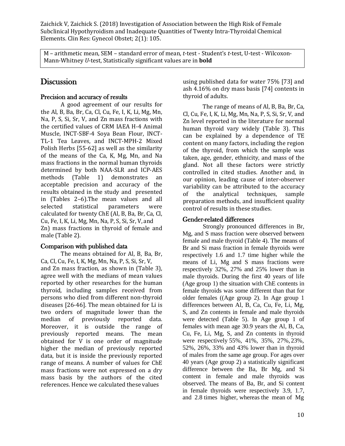M – arithmetic mean, SEM – standard error of mean, *t*-test - Student's *t*-test, U-test - Wilcoxon-Mann-Whitney *U*-test, Statistically significant values are in **bold**

# **Discussion**

#### Precision and accuracy of results

A good agreement of our results for the Al, B, Ba, Br, Ca, Cl, Cu, Fe, I, K, Li, Mg, Mn, Na, P, S, Si, Sr, V, and Zn mass fractions with the certified values of CRM IAEA H-4 Animal Muscle, INCT-SBF-4 Soya Bean Flour, INCT-TL-1 Tea Leaves, and INCT-MPH-2 Mixed Polish Herbs [55-62] as well as the similarity of the means of the Ca, K, Mg, Mn, and Na mass fractions in the normal human thyroids determined by both NAA-SLR and ICP-AES methods (Table 1) demonstrates an acceptable precision and accuracy of the results obtained in the study and presented in (Tables 2–6).The mean values and all selected statistical parameters were calculated for twenty ChE (Al, B, Ba, Br, Ca, Cl, Cu, Fe, I, K, Li, Mg, Mn, Na, P, S, Si, Sr, V, and Zn) mass fractions in thyroid of female and male (Table 2).

#### Comparison with published data

The means obtained for Al, B, Ba, Br, Ca, Cl, Cu, Fe, I, K, Mg, Mn, Na, P, S, Si, Sr, V, and Zn mass fraction, as shown in (Table 3), agree well with the medians of mean values reported by other researches for the human thyroid, including samples received from persons who died from different non-thyroid diseases [26-46]. The mean obtained for Li is two orders of magnitude lower than the median of previously reported data. Moreover, it is outside the range of previously reported means. The mean obtained for V is one order of magnitude higher the median of previously reported data, but it is inside the previously reported range of means. A number of values for ChE mass fractions were not expressed on a dry mass basis by the authors of the cited references. Hence we calculated these values

using published data for water 75% [73] and ash 4.16% on dry mass basis [74] contents in thyroid of adults.

The range of means of Al, B, Ba, Br, Ca, Cl, Cu, Fe, I, K, Li, Mg, Mn, Na, P, S, Si, Sr, V, and Zn level reported in the literature for normal human thyroid vary widely (Table 3). This can be explained by a dependence of TE content on many factors, including the region of the thyroid, from which the sample was taken, age, gender, ethnicity, and mass of the gland. Not all these factors were strictly controlled in cited studies. Another and, in our opinion, leading cause of inter-observer variability can be attributed to the accuracy of the analytical techniques, sample preparation methods, and insufficient quality control of results in these studies.

### Gender-related differences

Strongly pronounced differences in Br, Mg, and S mass fraction were observed between female and male thyroid (Table 4). The means of Br and Si mass fraction in female thyroids were respectively 1.6 and 1.7 time higher while the means of Li, Mg and S mass fractions were respectively 32%, 27% and 25% lower than in male thyroids. During the first 40 years of life (Age group 1) the situation with ChE contents in female thyroids was some different than that for older females ((Age group 2). In Age group 1 differences between Al, B, Ca, Cu, Fe, Li, Mg, S, and Zn contents in female and male thyroids were detected (Table 5). In Age group 1 of females with mean age 30.9 years the Al, B, Ca, Cu, Fe, Li, Mg, S, and Zn contents in thyroid were respectively 55%, 41%, 35%, 27%, 23%, 52%, 26%, 33% and 43% lower than in thyroid of males from the same age group. For ages over 40 years (Age group 2) a statistically significant difference between the Ba, Br Mg, and Si content in female and male thyroids was observed. The means of Ba, Br, and Si content in female thyroids were respectively 3.9, 1.7, and 2.8 times higher, whereas the mean of Mg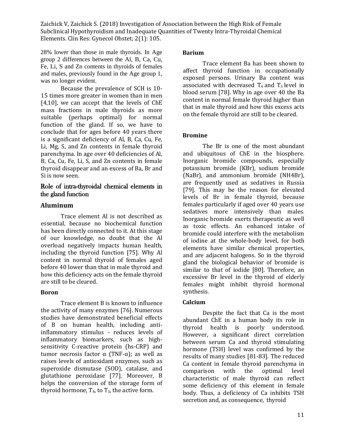28% lower than those in male thyroids. In Age group 2 differences between the Al, B, Ca, Cu, Fe, Li, S and Zn contents in thyroids of females and males, previously found in the Age group 1, was no longer evident.

Because the prevalence of SCH is 10- 15 times more greater in women than in men [4,10], we can accept that the levels of ChE mass fractions in male thyroids as more suitable (perhaps optimal) for normal function of the gland. If so, we have to conclude that for ages before 40 years there is a significant deficiency of Al, B, Ca, Cu, Fe, Li, Mg, S, and Zn contents in female thyroid parenchyma. In age over 40 deficiencies of Al, B, Ca, Cu, Fe, Li, S, and Zn contents in female thyroid disappear and an excess of Ba, Br and Si is now seen.

#### Role of intra-thyroidal chemical elements in the gland function

#### **Aluminum**

Trace element Al is not described as essential, because no biochemical function has been directly connected to it. At this stage of our knowledge, no doubt that the Al overload negatively impacts human health, including the thyroid function [75]. Why Al content in normal thyroid of females aged before 40 lower than that in male thyroid and how this deficiency acts on the female thyroid are still to be cleared.

#### **Boron**

Trace element B is known to influence the activity of many enzymes [76]. Numerous studies have demonstrated beneficial effects of B on human health, including antiinflammatory stimulus - reduces levels of inflammatory biomarkers, such as highsensitivity C-reactive protein (hs-CRP) and tumor necrosis factor  $\alpha$  (TNF- $\alpha$ ); as well as raises levels of antioxidant enzymes, such as superoxide dismutase (SOD), catalase, and glutathione peroxidase [77]. Moreover, B helps the conversion of the storage form of thyroid hormone,  $T_4$ , to  $T_3$ , the active form.

#### **Barium**

Trace element Ba has been shown to affect thyroid function in occupationally exposed persons. Urinary Ba content was associated with decreased  $T_4$  and  $T_3$  level in blood serum [78]. Why in age over 40 the Ba content in normal female thyroid higher than that in male thyroid and how this excess acts on the female thyroid are still to be cleared.

#### **Bromine**

The Br is one of the most abundant and ubiquitous of ChE in the biosphere. Inorganic bromide compounds, especially [potassium bromide](https://en.wikipedia.org/wiki/Potassium_bromide) (KBr), sodium bromide (NaBr), and ammonium bromide (NH4Br), are frequently used as sedatives in Russia [79]. This may be the reason for elevated levels of Br in female thyroid, because females particularly if aged over 40 years use sedatives more intensively than males. Inorganic bromide exerts therapeutic as well as toxic effects. An enhanced intake of bromide could interfere with the metabolism of iodine at the whole-body level, for both elements have similar chemical properties, and are adjacent halogens. So in the thyroid gland the biological behavior of bromide is similar to that of iodide [80]. Therefore, an excessive Br level in the thyroid of elderly females might inhibit thyroid hormonal synthesis.

#### **Calcium**

Despite the fact that Ca is the most abundant ChE in a human body its role in thyroid health is poorly understood. However, a significant direct correlation between serum Ca and thyroid stimulating hormone (TSH) level was confirmed by the results of many studies [81-83]. The reduced Ca content in female thyroid parenchyma in comparison with the optimal level characteristic of male thyroid can reflect some deficiency of this element in female body. Thus, a deficiency of Ca inhibits TSH secretion and, as consequence, thyroid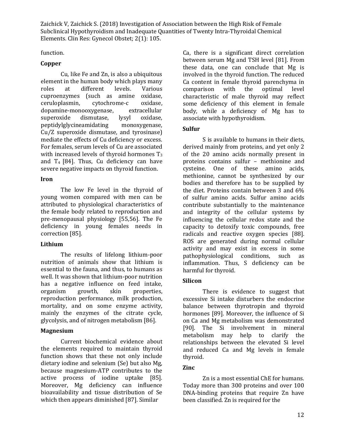function.

#### **Copper**

Cu, like Fe and Zn, is also a ubiquitous element in the human body which plays many roles at different levels. Various cuproenzymes (such as amine oxidase, ceruloplasmin, cytochrome-c oxidase, dopamine-monooxygenase, extracellular superoxide dismutase, lysyl oxidase, peptidylglycineamidating monoxygenase, Cu/Z superoxide dismutase, and tyrosinase) mediate the effects of Cu deficiency or excess. For females, serum levels of Cu are associated with increased levels of thyroid hormones  $T_3$ and  $T_4$  [84]. Thus, Cu deficiency can have severe negative impacts on thyroid function.

#### **Iron**

The low Fe level in the thyroid of young women compared with men can be attributed to physiological characteristics of the female body related to reproduction and pre-menopausal physiology [55,56]. The Fe deficiency in young females needs in correction [85].

#### **Lithium**

The results of lifelong lithium-poor nutrition of animals show that lithium is essential to the fauna, and thus, to humans as well. It was shown that lithium-poor nutrition has a negative influence on feed intake, organism growth, skin properties, reproduction performance, milk production, mortality, and on some enzyme activity, mainly the enzymes of the citrate cycle, glycolysis, and of nitrogen metabolism [86].

#### **Magnesium**

Current biochemical evidence about the elements required to maintain thyroid function shows that these not only include dietary iodine and selenium (Se) but also Mg, because magnesium-ATP contributes to the active process of iodine uptake [85]. Moreover, Mg deficiency can influence bioavailability and tissue distribution of Se which then appears diminished [87]. Similar

Ca, there is a significant direct correlation between serum Mg and TSH level [81]. From these data, one can conclude that Mg is involved in the thyroid function. The reduced Ca content in female thyroid parenchyma in comparison with the optimal level characteristic of male thyroid may reflect some deficiency of this element in female body, while a deficiency of Mg has to associate with hypothyroidism.

#### **Sulfur**

S is available to humans in their diets, derived mainly from proteins, and yet only 2 of the 20 amino acids normally present in proteins contains sulfur – methionine and cysteine. One of these amino acids, methionine, cannot be synthesized by our bodies and therefore has to be supplied by the diet. Proteins contain between 3 and 6% of sulfur amino acids. Sulfur amino acids contribute substantially to the maintenance and integrity of the cellular systems by influencing the cellular redox state and the capacity to detoxify toxic compounds, free radicals and reactive oxygen species [\[88\]](https://www.ncbi.nlm.nih.gov/pmc/articles/PMC2198910/#B16). ROS are generated during normal cellular activity and may exist in excess in some pathophysiological conditions, such as inflammation. Thus, S deficiency can be harmful for thyroid.

#### **Silicon**

There is evidence to suggest that excessive Si intake disturbers the endocrine balance between thyrotropin and thyroid hormones [89]. Moreover, the influence of Si on Ca and Mg metabolism was demonstrated [90]. The Si involvement in mineral metabolism may help to clarify the relationships between the elevated Si level and reduced Ca and Mg levels in female thyroid.

#### **Zinc**

Zn is a most essential ChE for humans. Today more than 300 proteins and over 100 DNA-binding proteins that require Zn have been classified. Zn is required for the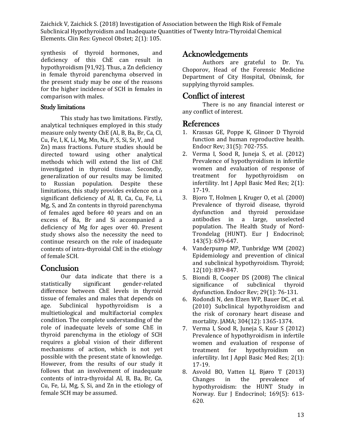synthesis of thyroid hormones, and deficiency of this ChE can result in hypothyroidism [91,92]. Thus, a Zn deficiency in female thyroid parenchyma observed in the present study may be one of the reasons for the higher incidence of SCH in females in comparison with males.

#### Study limitations

This study has two limitations. Firstly, analytical techniques employed in this study measure only twenty ChE (Al, B, Ba, Br, Ca, Cl, Cu, Fe, I, K, Li, Mg, Mn, Na, P, S, Si, Sr, V, and Zn) mass fractions. Future studies should be directed toward using other analytical methods which will extend the list of ChE investigated in thyroid tissue. Secondly, generalization of our results may be limited to Russian population. Despite these limitations, this study provides evidence on a significant deficiency of Al, B, Ca, Cu, Fe, Li, Mg, S, and Zn contents in thyroid parenchyma of females aged before 40 years and on an excess of Ba, Br and Si accompanied a deficiency of Mg for ages over 40. Present study shows also the necessity the need to continue research on the role of inadequate contents of intra-thyroidal ChE in the etiology of female SCH.

# **Conclusion**

Our data indicate that there is a statistically significant gender-related difference between ChE levels in thyroid tissue of females and males that depends on age. Subclinical hypothyroidism is a multietiological and multifactorial complex condition. The complete understanding of the role of inadequate levels of some ChE in thyroid parenchyma in the etiology of SCH requires a global vision of their different mechanisms of action, which is not yet possible with the present state of knowledge. However, from the results of our study it follows that an involvement of inadequate contents of intra-thyroidal Al, B, Ba, Br, Ca, Cu, Fe, Li, Mg, S, Si, and Zn in the etiology of female SCH may be assumed.

# Acknowledgements

Authors are grateful to Dr. Yu. Choporov, Head of the Forensic Medicine Department of City Hospital, Obninsk, for supplying thyroid samples.

# Conflict of interest

There is no any financial interest or any conflict of interest.

## References

- 1. [Krassas GE, Poppe K, Glinoer D Thyroid](https://www.ncbi.nlm.nih.gov/pubmed/20573783) [function and human reproductive health.](https://www.ncbi.nlm.nih.gov/pubmed/20573783) [Endocr Rev; 31\(5\):](https://www.ncbi.nlm.nih.gov/pubmed/20573783) 702-755.
- 2. [Verma I, Sood R, Juneja S, et al. \(2012\)](https://www.ncbi.nlm.nih.gov/pmc/articles/PMC3657979/) [Prevalence of hypothyroidism in infertile](https://www.ncbi.nlm.nih.gov/pmc/articles/PMC3657979/) [women and evaluation of response of](https://www.ncbi.nlm.nih.gov/pmc/articles/PMC3657979/) [treatment for hypothyroidism on](https://www.ncbi.nlm.nih.gov/pmc/articles/PMC3657979/) [infertility. Int J Appl Basic Med Res; 2\(1\):](https://www.ncbi.nlm.nih.gov/pmc/articles/PMC3657979/) [17-19.](https://www.ncbi.nlm.nih.gov/pmc/articles/PMC3657979/)
- 3. [Bjoro T, Holmen J, Kruger O, et al. \(2000\)](https://www.ncbi.nlm.nih.gov/pubmed/11078988) [Prevalence of thyroid disease, thyroid](https://www.ncbi.nlm.nih.gov/pubmed/11078988) [dysfunction and thyroid peroxidase](https://www.ncbi.nlm.nih.gov/pubmed/11078988) [antibodies in a large, unselected](https://www.ncbi.nlm.nih.gov/pubmed/11078988) [population. The Health Study of Nord-](https://www.ncbi.nlm.nih.gov/pubmed/11078988)[Trondelag \(HUNT\). Eur J Endocrinol;](https://www.ncbi.nlm.nih.gov/pubmed/11078988) 143(5): [639-647.](https://www.ncbi.nlm.nih.gov/pubmed/11078988)
- 4. [Vanderpump MP, Tunbridge WM \(2002\)](https://www.ncbi.nlm.nih.gov/pubmed/12487765) [Epidemiology and prevention of clinical](https://www.ncbi.nlm.nih.gov/pubmed/12487765) [and subclinical hypothyroidism. Thyroid;](https://www.ncbi.nlm.nih.gov/pubmed/12487765) 12(10): [839-847.](https://www.ncbi.nlm.nih.gov/pubmed/12487765)
- 5. [Biondi B, Cooper DS \(2008\) The clinical](https://www.ncbi.nlm.nih.gov/pubmed/17991805) [significance of subclinical thyroid](https://www.ncbi.nlm.nih.gov/pubmed/17991805) [dysfunction. Endocr Rev; 29\(1\):](https://www.ncbi.nlm.nih.gov/pubmed/17991805) 76-131.
- 6. [Rodondi N, den Elzen WP, Bauer DC, et al.](https://www.ncbi.nlm.nih.gov/pubmed/20858880) [\(2010\) Subclinical hypothyroidism and](https://www.ncbi.nlm.nih.gov/pubmed/20858880) [the risk of coronary heart disease and](https://www.ncbi.nlm.nih.gov/pubmed/20858880) [mortality. JAMA; 304\(12\):](https://www.ncbi.nlm.nih.gov/pubmed/20858880) 1365-1374.
- 7. [Verma I, Sood R, Juneja S, Kaur S \(2012\)](https://www.ncbi.nlm.nih.gov/pmc/articles/PMC3657979/) [Prevalence of hypothyroidism in infertile](https://www.ncbi.nlm.nih.gov/pmc/articles/PMC3657979/) [women and evaluation of response of](https://www.ncbi.nlm.nih.gov/pmc/articles/PMC3657979/) [treatment for hypothyroidism on](https://www.ncbi.nlm.nih.gov/pmc/articles/PMC3657979/) [infertility. Int J Appl Basic Med Res; 2\(1\):](https://www.ncbi.nlm.nih.gov/pmc/articles/PMC3657979/) [17-19.](https://www.ncbi.nlm.nih.gov/pmc/articles/PMC3657979/)
- 8. [Asvold BO, Vatten LJ, Bjøro T \(2013\)](https://www.ncbi.nlm.nih.gov/pubmed/23975540) [Changes in the prevalence of](https://www.ncbi.nlm.nih.gov/pubmed/23975540) [hypothyroidism: the HUNT Study in](https://www.ncbi.nlm.nih.gov/pubmed/23975540) [Norway. Eur J Endocrinol; 169\(5\): 613-](https://www.ncbi.nlm.nih.gov/pubmed/23975540) [620.](https://www.ncbi.nlm.nih.gov/pubmed/23975540)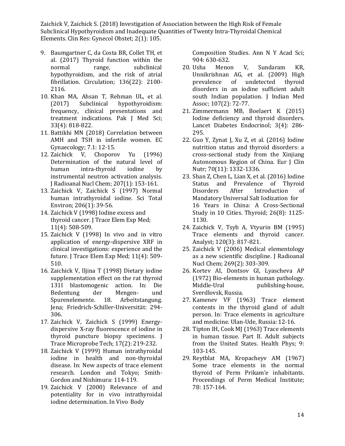- 9. [Baumgartner C, da Costa BR, Collet TH, et](https://www.ncbi.nlm.nih.gov/pubmed/29061566) [al. \(2017\) Thyroid function within the](https://www.ncbi.nlm.nih.gov/pubmed/29061566) normal range, [subclinical](https://www.ncbi.nlm.nih.gov/pubmed/29061566) [hypothyroidism, and the risk of atrial](https://www.ncbi.nlm.nih.gov/pubmed/29061566) [fibrillation. Circulation; 136\(22\): 2100-](https://www.ncbi.nlm.nih.gov/pubmed/29061566) [2116.](https://www.ncbi.nlm.nih.gov/pubmed/29061566)
- 10. [Khan MA, Ahsan T, Rehman UL, et al.](https://www.ncbi.nlm.nih.gov/pubmed/29067046) [\(2017\) Subclinical hypothyroidism:](https://www.ncbi.nlm.nih.gov/pubmed/29067046) [frequency, clinical presentations and](https://www.ncbi.nlm.nih.gov/pubmed/29067046) [treatment indications. Pak J Med Sci;](https://www.ncbi.nlm.nih.gov/pubmed/29067046) 33(4): [818-822.](https://www.ncbi.nlm.nih.gov/pubmed/29067046)
- 11. [Battikhi MN \(2018\) Correlation between](https://www.ecronicon.com/ecgy/pdf/ECGY-07-00182.pdf) [AMH and TSH in infertile women. EC](https://www.ecronicon.com/ecgy/pdf/ECGY-07-00182.pdf) [Gynaecology; 7.1:](https://www.ecronicon.com/ecgy/pdf/ECGY-07-00182.pdf) 12-15.
- 12. [Zaichick V, Choporov Yu \(1996\)](https://link.springer.com/article/10.1007/BF02036535) [Determination of the natural level of](https://link.springer.com/article/10.1007/BF02036535) [human intra-thyroid iodine by](https://link.springer.com/article/10.1007/BF02036535) [instrumental neutron activation analysis.](https://link.springer.com/article/10.1007/BF02036535) [J Radioanal Nucl Chem; 207\(1\):](https://link.springer.com/article/10.1007/BF02036535) 153-161.
- 13. [Zaichick V, Zaichick S \(1997\) Normal](https://www.ncbi.nlm.nih.gov/pubmed/9373990) [human intrathyroidal iodine. Sci Total](https://www.ncbi.nlm.nih.gov/pubmed/9373990) [Environ; 206\(1\):](https://www.ncbi.nlm.nih.gov/pubmed/9373990) 39-56.
- 14. Zaichick V (1998) Iodine excess and thyroid cancer. J Trace Elem Exp Med; 11(4): 508-509.
- 15. [Zaichick V \(1998\) In vivo and in vitro](http://www.scirp.org/(S(351jmbntvnsjt1aadkposzje))/reference/ReferencesPapers.aspx?ReferenceID=1490208) [application of energy-dispersive XRF in](http://www.scirp.org/(S(351jmbntvnsjt1aadkposzje))/reference/ReferencesPapers.aspx?ReferenceID=1490208) [clinical investigations: experience and the](http://www.scirp.org/(S(351jmbntvnsjt1aadkposzje))/reference/ReferencesPapers.aspx?ReferenceID=1490208) [future. J Trace Elem Exp Med; 11\(4\): 509-](http://www.scirp.org/(S(351jmbntvnsjt1aadkposzje))/reference/ReferencesPapers.aspx?ReferenceID=1490208) [510.](http://www.scirp.org/(S(351jmbntvnsjt1aadkposzje))/reference/ReferencesPapers.aspx?ReferenceID=1490208)
- 16. Zaichick V, Iljina T (1998) Dietary iodine supplementation effect on the rat thyroid 131I blastomogenic action. In: Die Bedentung der Mengen- und Spurenelemente. 18. Arbeitstangung. Jena; Friedrich-Schiller-Universität: 294- 306.
- 17. [Zaichick V, Zaichick S \(1999\) Energy](https://eurekamag.com/research/010/588/010588090.php)[dispersive X-ray fluorescence of iodine in](https://eurekamag.com/research/010/588/010588090.php) [thyroid puncture biopsy specimens. J](https://eurekamag.com/research/010/588/010588090.php) [Trace Microprobe Tech; 17\(2\):](https://eurekamag.com/research/010/588/010588090.php) 219-232.
- 18. [Zaichick V \(1999\) Human intrathyroidal](https://www.lupinepublishers.com/) [iodine in health and non-thyroidal](https://www.lupinepublishers.com/) [disease. In: New aspects of trace element](https://www.lupinepublishers.com/) [research. London and Tokyo; Smith-](https://www.lupinepublishers.com/)[Gordon and Nishimura:](https://www.lupinepublishers.com/) 114-119.
- 19. [Zaichick V \(2000\) Relevance of and](https://www.lupinepublishers.com/) [potentiality for in vivo intrathyroidal](https://www.lupinepublishers.com/) [iodine determination. In Vivo](https://www.lupinepublishers.com/) Body

[Composition Studies. Ann N Y Acad Sci;](https://www.lupinepublishers.com/) [904: 630-632.](https://www.lupinepublishers.com/)

- 20. [Usha Menon V, Sundaram KR,](https://www.ncbi.nlm.nih.gov/pubmed/19585813) [Unnikrishnan AG, et al. \(2009\)](https://www.ncbi.nlm.nih.gov/pubmed/19585813) Hig[h](https://www.ncbi.nlm.nih.gov/pubmed/19585813) [prevalence of undetected thyroid](https://www.ncbi.nlm.nih.gov/pubmed/19585813) [disorders in an iodine sufficient adult](https://www.ncbi.nlm.nih.gov/pubmed/19585813) [south Indian population. J Indian Med](https://www.ncbi.nlm.nih.gov/pubmed/19585813) [Assoc; 107\(2\):](https://www.ncbi.nlm.nih.gov/pubmed/19585813) 72-77.
- 21. [Zimmermann MB, Boelaert K \(2015\)](https://www.ncbi.nlm.nih.gov/pubmed/25591468) [Iodine deficiency and thyroid disorders.](https://www.ncbi.nlm.nih.gov/pubmed/25591468) [Lancet Diabetes Endocrinol; 3\(4\): 286-](https://www.ncbi.nlm.nih.gov/pubmed/25591468) [295.](https://www.ncbi.nlm.nih.gov/pubmed/25591468)
- 22. [Guo Y, Zynat J, Xu Z, et al. \(2016\) Iodine](https://www.ncbi.nlm.nih.gov/pubmed/27188916) [nutrition status and thyroid disorders: a](https://www.ncbi.nlm.nih.gov/pubmed/27188916) [cross-sectional study from the Xinjiang](https://www.ncbi.nlm.nih.gov/pubmed/27188916) [Autonomous Region of China. Eur J Clin](https://www.ncbi.nlm.nih.gov/pubmed/27188916) [Nutr; 70\(11\):](https://www.ncbi.nlm.nih.gov/pubmed/27188916) 1332-1336.
- 23. [Shan Z, Chen L, Lian X, et al. \(2016\) Iodine](https://www.ncbi.nlm.nih.gov/pubmed/27370068) [Status and Prevalence of Thyroid](https://www.ncbi.nlm.nih.gov/pubmed/27370068) [Disorders After Introduction of](https://www.ncbi.nlm.nih.gov/pubmed/27370068) [Mandatory Universal Salt Iodization](https://www.ncbi.nlm.nih.gov/pubmed/27370068) for [16 Years in China: A Cross-Sectional](https://www.ncbi.nlm.nih.gov/pubmed/27370068) [Study in 10 Cities. Thyroid; 26\(8\): 1125-](https://www.ncbi.nlm.nih.gov/pubmed/27370068) [1130.](https://www.ncbi.nlm.nih.gov/pubmed/27370068)
- 24. [Zaichick V, Tsyb A, Vtyurin BM \(1995\)](https://www.ncbi.nlm.nih.gov/pubmed/7741233) [Trace elements and thyroid cancer.](https://www.ncbi.nlm.nih.gov/pubmed/7741233) [Analyst; 120\(3\):](https://www.ncbi.nlm.nih.gov/pubmed/7741233) 817-821.
- 25. [Zaichick V \(2006\) Medical elementology](https://link.springer.com/article/10.1007/s10967-006-0383-3) [as a new scientific discipline. J Radioanal](https://link.springer.com/article/10.1007/s10967-006-0383-3) [Nucl Chem; 269\(2\):](https://link.springer.com/article/10.1007/s10967-006-0383-3) 303-309.
- 26. Kortev AI, Dontsov GI, Lyascheva AP (1972) Bio-elements in human pathology. Middle-Ural publishing-house, Sverdlovsk, Russia.
- 27. Kamenev VF (1963) Trace element contents in the thyroid gland of adult person. In: Trace elements in agriculture and medicine. Ulan-Ude, Russia: 12-16.
- 28. [Tipton IH, Cook MJ \(1963\) Trace elements](https://journals.lww.com/health-physics/Abstract/1963/02000/Trace_Elements_in_Human_Tissue_Part_II__Adult.2.aspx) [in human tissue. Part II. Adult subjects](https://journals.lww.com/health-physics/Abstract/1963/02000/Trace_Elements_in_Human_Tissue_Part_II__Adult.2.aspx) [from the United States. Health Phys; 9:](https://journals.lww.com/health-physics/Abstract/1963/02000/Trace_Elements_in_Human_Tissue_Part_II__Adult.2.aspx) [103-145.](https://journals.lww.com/health-physics/Abstract/1963/02000/Trace_Elements_in_Human_Tissue_Part_II__Adult.2.aspx)
- 29. Reytblat MA, Kropacheyv AM (1967) Some trace elements in the normal thyroid of Perm Prikam'e inhabitants. Proceedings of Perm Medical Institute; 78: 157-164.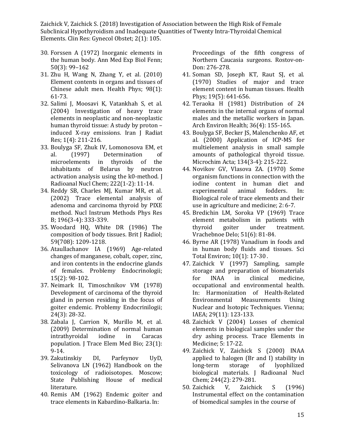- 30. [Forssen A \(1972\) Inorganic elements in](https://www.ncbi.nlm.nih.gov/pubmed/5081903) [the human body. Ann Med Exp Biol Fenn;](https://www.ncbi.nlm.nih.gov/pubmed/5081903) [50\(3\):](https://www.ncbi.nlm.nih.gov/pubmed/5081903) 99–162
- 31. [Zhu H, Wang N, Zhang Y, et al. \(2010\)](https://www.ncbi.nlm.nih.gov/pubmed/19959952) [Element contents in organs and tissues of](https://www.ncbi.nlm.nih.gov/pubmed/19959952) [Chinese adult men. Health Phys; 98\(1\):](https://www.ncbi.nlm.nih.gov/pubmed/19959952) [61-73.](https://www.ncbi.nlm.nih.gov/pubmed/19959952)
- 32. [Salimi J, Moosavi K, Vatankhah S, et al.](https://inis.iaea.org/search/searchsinglerecord.aspx?recordsFor=SingleRecord&RN=35074722) [\(2004\) Investigation of heavy trace](https://inis.iaea.org/search/searchsinglerecord.aspx?recordsFor=SingleRecord&RN=35074722) [elements in neoplastic and non-neoplastic](https://inis.iaea.org/search/searchsinglerecord.aspx?recordsFor=SingleRecord&RN=35074722) [human thyroid tissue: A study by proton](https://inis.iaea.org/search/searchsinglerecord.aspx?recordsFor=SingleRecord&RN=35074722) [–](https://inis.iaea.org/search/searchsinglerecord.aspx?recordsFor=SingleRecord&RN=35074722) [induced X-ray emissions. Iran J Radiat](https://inis.iaea.org/search/searchsinglerecord.aspx?recordsFor=SingleRecord&RN=35074722) [Res; 1\(4\):](https://inis.iaea.org/search/searchsinglerecord.aspx?recordsFor=SingleRecord&RN=35074722) 211-216.
- 33. [Boulyga SF, Zhuk IV, Lomonosova EM, et](https://link.springer.com/article/10.1007/BF02034238) al. [\(1997\) Determination](https://link.springer.com/article/10.1007/BF02034238) o[f](https://link.springer.com/article/10.1007/BF02034238) [microelements in thyroids of the](https://link.springer.com/article/10.1007/BF02034238) [inhabitants of Belarus by neutron](https://link.springer.com/article/10.1007/BF02034238) [activation analysis using the k0-method. J](https://link.springer.com/article/10.1007/BF02034238) [Radioanal Nucl Chem; 222\(1-2\):](https://link.springer.com/article/10.1007/BF02034238) 11-14.
- 34. [Reddy SB, Charles MJ, Kumar MR, et al.](https://www.sciencedirect.com/science/article/pii/S0168583X02012922) [\(2002\) Trace elemental analysis of](https://www.sciencedirect.com/science/article/pii/S0168583X02012922) [adenoma and carcinoma thyroid by PIXE](https://www.sciencedirect.com/science/article/pii/S0168583X02012922) [method. Nucl Instrum Methods Phys Res](https://www.sciencedirect.com/science/article/pii/S0168583X02012922) [B; 196\(3-4\):](https://www.sciencedirect.com/science/article/pii/S0168583X02012922) 333-339.
- 35. [Woodard HQ, White DR \(1986\) The](https://www.ncbi.nlm.nih.gov/pubmed/3801800) [composition of body tissues. Brit J Radiol;](https://www.ncbi.nlm.nih.gov/pubmed/3801800) 59(708): [1209-1218.](https://www.ncbi.nlm.nih.gov/pubmed/3801800)
- 36. [Ataullachanov IA \(1969\) Age-related](https://www.ncbi.nlm.nih.gov/pubmed/5807109) [changes of manganese, cobalt, coper, zinc,](https://www.ncbi.nlm.nih.gov/pubmed/5807109) [and iron contents in the endocrine glands](https://www.ncbi.nlm.nih.gov/pubmed/5807109) [of females. Problemy Endocrinologii;](https://www.ncbi.nlm.nih.gov/pubmed/5807109) 15(2): [98-102.](https://www.ncbi.nlm.nih.gov/pubmed/5807109)
- 37. Neimark II, Timoschnikov VM (1978) Development of carcinoma of the thyroid gland in person residing in the focus of goiter endemic. Problemy Endocrinilogii; 24(3): 28-32.
- 38. [Zabala J, Carrion N, Murillo M, et al.](https://www.ncbi.nlm.nih.gov/pubmed/19203711) [\(2009\) Determination of normal human](https://www.ncbi.nlm.nih.gov/pubmed/19203711) [intrathyroidal iodine in Caracas](https://www.ncbi.nlm.nih.gov/pubmed/19203711) [population. J Trace Elem Med Bio; 23\(1\):](https://www.ncbi.nlm.nih.gov/pubmed/19203711) [9-14.](https://www.ncbi.nlm.nih.gov/pubmed/19203711)
- 39. Zakutinskiy DI, Parfeynov UyD, Selivanova LN (1962) Handbook on the toxicology of radioisotopes. Moscow; State Publishing House of medical literature.
- 40. Remis AM (1962) Endemic goiter and trace elements in Kabardino-Balkaria. In:

Proceedings of the fifth congress of Northern Caucasia surgeons. Rostov-on-Don: 276-278.

- 41. [Soman SD, Joseph KT, Raut SJ, et al.](https://www.ncbi.nlm.nih.gov/pubmed/5513677) [\(1970\) Studies of major and trace](https://www.ncbi.nlm.nih.gov/pubmed/5513677) [element content in human tissues. Health](https://www.ncbi.nlm.nih.gov/pubmed/5513677) [Phys; 19\(5\):](https://www.ncbi.nlm.nih.gov/pubmed/5513677) 641-656.
- 42. [Teraoka H \(1981\) Distribution of 24](https://www.tandfonline.com/doi/abs/10.1080/00039896.1981.10667620) [elements in the internal organs of normal](https://www.tandfonline.com/doi/abs/10.1080/00039896.1981.10667620) [males and the metallic workers in](https://www.tandfonline.com/doi/abs/10.1080/00039896.1981.10667620) Japa[n.](https://www.tandfonline.com/doi/abs/10.1080/00039896.1981.10667620) [Arch Environ Health; 36\(4\):](https://www.tandfonline.com/doi/abs/10.1080/00039896.1981.10667620) 155-165.
- 43. [Boulyga SF, Becker JS, Malenchenko AF, et](https://link.springer.com/article/10.1007/s006040050069) [al. \(2000\) Application of ICP-MS for](https://link.springer.com/article/10.1007/s006040050069) [multielement analysis in small sample](https://link.springer.com/article/10.1007/s006040050069) [amounts of pathological thyroid tissue.](https://link.springer.com/article/10.1007/s006040050069) [Microchim Acta; 134\(3-4\):](https://link.springer.com/article/10.1007/s006040050069) 215-222.
- 44. Novikov GV, Vlasova ZA. (1970) Some organism functions in connection with the iodine content in human diet and experimental animal fodders. In: Biological role of trace elements and their use in agriculture and medicine; 2: 6-7.
- 45. Bredichin LM, Soroka VP (1969) Trace element metabolism in patients with thyroid goiter under treatment. Vrachebnoe Delo; 51(6): 81-84.
- 46. [Byrne AR \(1978\) Vanadium in foods and](https://www.ncbi.nlm.nih.gov/pubmed/684404) [in human body fluids and tissues. Sci](https://www.ncbi.nlm.nih.gov/pubmed/684404) [Total Environ; 10\(1\): 17-30](https://www.ncbi.nlm.nih.gov/pubmed/684404) .
- 47. [Zaichick V \(1997\) Sampling, sample](https://inis.iaea.org/search/search.aspx?orig_q=RN%3A29019688) [storage and preparation of biomaterials](https://inis.iaea.org/search/search.aspx?orig_q=RN%3A29019688) [for INAA in clinical medicine,](https://inis.iaea.org/search/search.aspx?orig_q=RN%3A29019688) [occupational and environmental health.](https://inis.iaea.org/search/search.aspx?orig_q=RN%3A29019688) [In: Harmonization of Health-Related](https://inis.iaea.org/search/search.aspx?orig_q=RN%3A29019688) [Environmental Measurements Using](https://inis.iaea.org/search/search.aspx?orig_q=RN%3A29019688) [Nuclear and Isotopic Techniques. Vienna;](https://inis.iaea.org/search/search.aspx?orig_q=RN%3A29019688) [IAEA; 29\(11\):](https://inis.iaea.org/search/search.aspx?orig_q=RN%3A29019688) 123-133.
- 48. Zaichick V (2004) Losses of chemical elements in biological samples under the dry ashing process. Trace Elements in Medicine; 5: 17-22.
- 49. Zaichick V, Zaichick S (2000) INAA applied to halogen (Br and I) stability in long-term storage of lyophilized biological materials. J Radioanal Nucl Chem; 244(2): 279-281.
- 50. Zaichick V, Zaichick S (1996) Instrumental effect on the contamination of biomedical samples in the course of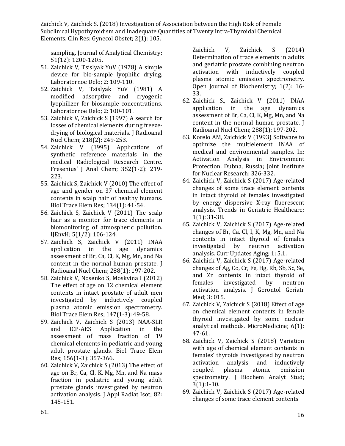sampling. Journal of Analytical Chemistry; 51(12): 1200-1205.

- 51. Zaichick V, Tsislyak YuV (1978) A simple device for bio-sample lyophilic drying. Laboratornoe Delo; 2: 109-110.
- 52. Zaichick V, Tsislyak YuV (1981) A modified adsorptive and cryogenic lyophilizer for biosample concentrations. Laboratornoe Delo; 2: 100-101.
- 53. [Zaichick V, Zaichick S \(1997\) A search for](https://akademiai.com/doi/abs/10.1007/BF02039345) [losses of chemical elements during](https://akademiai.com/doi/abs/10.1007/BF02039345) [freeze](https://akademiai.com/doi/abs/10.1007/BF02039345)[drying of biological materials. J](https://akademiai.com/doi/abs/10.1007/BF02039345) [Radioanal](https://akademiai.com/doi/abs/10.1007/BF02039345)  [Nucl Chem; 218\(2\):](https://akademiai.com/doi/abs/10.1007/BF02039345) 249-253.
- 54. [Zaichick V \(1995\) Applications of](https://link.springer.com/article/10.1007/BF00322330) [synthetic reference materials in the](https://link.springer.com/article/10.1007/BF00322330) [medical Radiological Research Centre.](https://link.springer.com/article/10.1007/BF00322330) [Fresenius' J Anal Chem; 352\(1-2\): 219-](https://link.springer.com/article/10.1007/BF00322330) [223.](https://link.springer.com/article/10.1007/BF00322330)
- 55. [Zaichick S, Zaichick V \(2010\) The effect of](https://www.ncbi.nlm.nih.gov/pubmed/19629406) [age and gender on 37 chemical element](https://www.ncbi.nlm.nih.gov/pubmed/19629406) [contents in scalp hair of healthy humans.](https://www.ncbi.nlm.nih.gov/pubmed/19629406) [Biol Trace Elem Res; 134\(1\):](https://www.ncbi.nlm.nih.gov/pubmed/19629406) 41-54.
- 56. [Zaichick S, Zaichick V \(2011\) The scalp](https://www.researchgate.net/publication/262869902_The_scalp_hair_as_a_monitor_for_trace_elements_in_biomonitoring_of_atmospheric_pollution) [hair as a monitor for trace elements in](https://www.researchgate.net/publication/262869902_The_scalp_hair_as_a_monitor_for_trace_elements_in_biomonitoring_of_atmospheric_pollution) [biomonitoring of atmospheric pollution.](https://www.researchgate.net/publication/262869902_The_scalp_hair_as_a_monitor_for_trace_elements_in_biomonitoring_of_atmospheric_pollution) [IJEnvH; 5\(1/2\):](https://www.researchgate.net/publication/262869902_The_scalp_hair_as_a_monitor_for_trace_elements_in_biomonitoring_of_atmospheric_pollution) 106-124.
- 57. [Zaichick S, Zaichick V \(2011\) INAA](https://link.springer.com/article/10.1007/s10967-010-0927-4) [application in the age dynamics](https://link.springer.com/article/10.1007/s10967-010-0927-4) [assessment of Br, Ca, Cl, K, Mg, Mn, and Na](https://link.springer.com/article/10.1007/s10967-010-0927-4) [content in the normal human prostate. J](https://link.springer.com/article/10.1007/s10967-010-0927-4) [Radioanal Nucl Chem; 288\(1\):](https://link.springer.com/article/10.1007/s10967-010-0927-4) 197-202.
- 58. [Zaichick V, Nosenko S, Moskvina I \(2012\)](https://www.ncbi.nlm.nih.gov/pubmed/22231436) The effect of [age on 12 chemical element](https://www.ncbi.nlm.nih.gov/pubmed/22231436) [contents in intact prostate of adult men](https://www.ncbi.nlm.nih.gov/pubmed/22231436) [investigated by inductively coupled](https://www.ncbi.nlm.nih.gov/pubmed/22231436) [plasma atomic emission spectrometry.](https://www.ncbi.nlm.nih.gov/pubmed/22231436) [Biol Trace Elem Res; 147\(1-3\):](https://www.ncbi.nlm.nih.gov/pubmed/22231436) 49-58.
- 59. [Zaichick V, Zaichick S \(2013\) NAA-SLR](https://www.ncbi.nlm.nih.gov/pubmed/24068488) [and ICP-AES Application in the](https://www.ncbi.nlm.nih.gov/pubmed/24068488) [assessment of mass fraction of 19](https://www.ncbi.nlm.nih.gov/pubmed/24068488) [chemical elements in pediatric and young](https://www.ncbi.nlm.nih.gov/pubmed/24068488) [adult prostate glands. Biol Trace Elem](https://www.ncbi.nlm.nih.gov/pubmed/24068488) [Res; 156\(1-3\):](https://www.ncbi.nlm.nih.gov/pubmed/24068488) 357-366.
- 60. [Zaichick V, Zaichick S \(2013\) The effect of](https://www.ncbi.nlm.nih.gov/pubmed/23994740) [age on Br, Ca, Cl, K, Mg, Mn, and Na mass](https://www.ncbi.nlm.nih.gov/pubmed/23994740) [fraction in pediatric and young adult](https://www.ncbi.nlm.nih.gov/pubmed/23994740) [prostate glands investigated by neutron](https://www.ncbi.nlm.nih.gov/pubmed/23994740) [activation analysis. J Appl Radiat Isot; 82:](https://www.ncbi.nlm.nih.gov/pubmed/23994740) [145-151.](https://www.ncbi.nlm.nih.gov/pubmed/23994740)

[Zaichick V, Zaichick S \(2014\)](http://www.scirp.org/(S(vtj3fa45qm1ean45vvffcz55))/reference/ReferencesPapers.aspx?ReferenceID=1973338) [Determination of trace elements in adults](http://www.scirp.org/(S(vtj3fa45qm1ean45vvffcz55))/reference/ReferencesPapers.aspx?ReferenceID=1973338) [and geriatric prostate combining neutron](http://www.scirp.org/(S(vtj3fa45qm1ean45vvffcz55))/reference/ReferencesPapers.aspx?ReferenceID=1973338) [activation with inductively coupled](http://www.scirp.org/(S(vtj3fa45qm1ean45vvffcz55))/reference/ReferencesPapers.aspx?ReferenceID=1973338) [plasma atomic emission spectrometry.](http://www.scirp.org/(S(vtj3fa45qm1ean45vvffcz55))/reference/ReferencesPapers.aspx?ReferenceID=1973338) [Open Journal of Biochemistry; 1\(2\): 16-](http://www.scirp.org/(S(vtj3fa45qm1ean45vvffcz55))/reference/ReferencesPapers.aspx?ReferenceID=1973338) [33.](http://www.scirp.org/(S(vtj3fa45qm1ean45vvffcz55))/reference/ReferencesPapers.aspx?ReferenceID=1973338)

- 62. [Zaichick S., Zaichick V \(2011\) INAA](https://link.springer.com/article/10.1007/s10967-010-0927-4) [application in the age dynamics](https://link.springer.com/article/10.1007/s10967-010-0927-4) assessment of Br, [Ca, Cl, K, Mg, Mn, and Na](https://link.springer.com/article/10.1007/s10967-010-0927-4) [content in the normal human prostate. J](https://link.springer.com/article/10.1007/s10967-010-0927-4) [Radioanal Nucl Chem; 288\(1\):](https://link.springer.com/article/10.1007/s10967-010-0927-4) 197-202.
- 63. [Korelo AM, Zaichick V \(1993\) Software to](http://www.scirp.org/(S(vtj3fa45qm1ean45vvffcz55))/reference/ReferencesPapers.aspx?ReferenceID=1973388) [optimize the multielement INAA of](http://www.scirp.org/(S(vtj3fa45qm1ean45vvffcz55))/reference/ReferencesPapers.aspx?ReferenceID=1973388) [medical and environmental samples. In:](http://www.scirp.org/(S(vtj3fa45qm1ean45vvffcz55))/reference/ReferencesPapers.aspx?ReferenceID=1973388) [Activation Analysis in Environment](http://www.scirp.org/(S(vtj3fa45qm1ean45vvffcz55))/reference/ReferencesPapers.aspx?ReferenceID=1973388) [Protection. Dubna, Russia; Joint Institute](http://www.scirp.org/(S(vtj3fa45qm1ean45vvffcz55))/reference/ReferencesPapers.aspx?ReferenceID=1973388) [for Nuclear Research:](http://www.scirp.org/(S(vtj3fa45qm1ean45vvffcz55))/reference/ReferencesPapers.aspx?ReferenceID=1973388) 326-332.
- 64. [Zaichick V, Zaichick S \(2017\) Age-related](http://scholarlypages.org/Articles/geriatric-medicine/tghc-1-004.php?jid=geriatric-medicine) [changes of some trace element contents](http://scholarlypages.org/Articles/geriatric-medicine/tghc-1-004.php?jid=geriatric-medicine) [in intact thyroid of females investigated](http://scholarlypages.org/Articles/geriatric-medicine/tghc-1-004.php?jid=geriatric-medicine) [by energy dispersive X-ray fluorescent](http://scholarlypages.org/Articles/geriatric-medicine/tghc-1-004.php?jid=geriatric-medicine) [analysis. Trends in Geriatric Healthcare;](http://scholarlypages.org/Articles/geriatric-medicine/tghc-1-004.php?jid=geriatric-medicine) 1(1): [31-38.](http://scholarlypages.org/Articles/geriatric-medicine/tghc-1-004.php?jid=geriatric-medicine)
- 65. Zaichick V, Zaichick S (2017) Age-related changes of Br, Ca, Cl, I, K, Mg, Mn, and Na contents in intact thyroid of females investigated by neutron activation analysis. Curr Updates Aging; 1: 5.1.
- 66. Zaichick V, Zaichick S (2017) Age-related changes of Ag, Co, Cr, Fe, Hg, Rb, Sb, Sc, Se, and Zn contents in intact thyroid of females investigated by neutron activation analysis. J Gerontol Geriatr Med; 3: 015.
- 67. [Zaichick V, Zaichick S \(2018\) Effect of age](http://www.journals.tmkarpinski.com/index.php/mmed/article/view/33) [on chemical element contents in female](http://www.journals.tmkarpinski.com/index.php/mmed/article/view/33) [thyroid investigated by some nuclear](http://www.journals.tmkarpinski.com/index.php/mmed/article/view/33) [analytical methods. MicroMedicine; 6\(1\):](http://www.journals.tmkarpinski.com/index.php/mmed/article/view/33) [47-61.](http://www.journals.tmkarpinski.com/index.php/mmed/article/view/33)
- 68. Zaichick V, Zaichick S (2018) Variation with age of chemical element contents in females' thyroids investigated by neutron activation analysis and inductively coupled plasma atomic emission spectrometry. J Biochem Analyt Stud; 3(1):1-10.
- 69. [Zaichick V, Zaichick S \(2017\) Age-related](https://medcraveonline.com/MOJGG/MOJGG-01-00028.php) [changes of some trace element](https://medcraveonline.com/MOJGG/MOJGG-01-00028.php) contents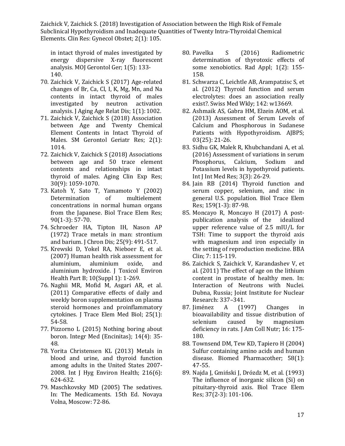[in intact thyroid of males investigated by](https://medcraveonline.com/MOJGG/MOJGG-01-00028.php) [energy dispersive X-ray fluorescent](https://medcraveonline.com/MOJGG/MOJGG-01-00028.php) [analysis. MOJ Gerontol Ger; 1\(5\): 133-](https://medcraveonline.com/MOJGG/MOJGG-01-00028.php) [140.](https://medcraveonline.com/MOJGG/MOJGG-01-00028.php)

- 70. [Zaichick V, Zaichick S \(2017\) Age-related](https://www.jscimedcentral.com/Aging/aging-1-1002.php) [changes of Br, Ca, Cl, I, K, Mg, Mn, and Na](https://www.jscimedcentral.com/Aging/aging-1-1002.php) [contents in intact thyroid of males](https://www.jscimedcentral.com/Aging/aging-1-1002.php) [investigated by neutron activation](https://www.jscimedcentral.com/Aging/aging-1-1002.php) [analysis. J Aging Age Relat Dis; 1\(1\):1002.](https://www.jscimedcentral.com/Aging/aging-1-1002.php)
- 71. Zaichick V, Zaichick S (2018) Association between Age and Twenty Chemical Element Contents in Intact Thyroid of Males. SM Gerontol Geriatr Res; 2(1): 1014.
- 72. [Zaichick V, Zaichick S \(2018\) Associations](https://www.ncbi.nlm.nih.gov/pubmed/29396842) [between age and 50 trace element](https://www.ncbi.nlm.nih.gov/pubmed/29396842) [contents and relationships in intact](https://www.ncbi.nlm.nih.gov/pubmed/29396842) [thyroid of males. Aging Clin Exp Res;](https://www.ncbi.nlm.nih.gov/pubmed/29396842) 30(9): [1059-1070.](https://www.ncbi.nlm.nih.gov/pubmed/29396842)
- 73. Katoh Y, Sato T, Yamamoto Y (2002) Determination of multielement concentrations in normal human organs from the Japanese. Biol Trace Elem Res; 90(1-3): 57-70.
- 74. [Schroeder HA, Tipton IH, Nason AP](https://www.sciencedirect.com/science/article/pii/0021968172901506) [\(1972\) Trace metals in man: strontium](https://www.sciencedirect.com/science/article/pii/0021968172901506) [and barium. J Chron Dis; 25\(9\):](https://www.sciencedirect.com/science/article/pii/0021968172901506) 491-517.
- 75. [Krewski D, Yokel RA, Nieboer E, et al.](https://www.ncbi.nlm.nih.gov/pubmed/18085482) [\(2007\) Human health risk assessment for](https://www.ncbi.nlm.nih.gov/pubmed/18085482) [aluminium, aluminium oxide, and](https://www.ncbi.nlm.nih.gov/pubmed/18085482) [aluminium hydroxide. J Toxicol Environ](https://www.ncbi.nlm.nih.gov/pubmed/18085482) [Health Part B; 10\(Suppl 1\):](https://www.ncbi.nlm.nih.gov/pubmed/18085482) 1-269.
- 76. [Naghii MR, Mofid M, Asgari AR, et al.](https://www.ncbi.nlm.nih.gov/pubmed/21129941) [\(2011\) Comparative effects of daily and](https://www.ncbi.nlm.nih.gov/pubmed/21129941) [weekly boron supplementation on plasma](https://www.ncbi.nlm.nih.gov/pubmed/21129941) [steroid hormones and proinflammatory](https://www.ncbi.nlm.nih.gov/pubmed/21129941) [cytokines. J Trace Elem Med Biol; 25\(1\):](https://www.ncbi.nlm.nih.gov/pubmed/21129941) [54-58.](https://www.ncbi.nlm.nih.gov/pubmed/21129941)
- 77. [Pizzorno L \(2015\) Nothing boring about](https://www.ncbi.nlm.nih.gov/pubmed/26770156) [boron. Integr Med \(Encinitas\); 14\(4\): 35-](https://www.ncbi.nlm.nih.gov/pubmed/26770156) [48.](https://www.ncbi.nlm.nih.gov/pubmed/26770156)
- 78. [Yorita Christensen KL \(2013\) Metals in](https://www.ncbi.nlm.nih.gov/pubmed/23044211) [blood and urine, and thyroid function](https://www.ncbi.nlm.nih.gov/pubmed/23044211) [among adults in the United States 2007-](https://www.ncbi.nlm.nih.gov/pubmed/23044211) [2008. Int J Hyg Environ Health; 216\(6\):](https://www.ncbi.nlm.nih.gov/pubmed/23044211) [624-632.](https://www.ncbi.nlm.nih.gov/pubmed/23044211)
- 79. Maschkovsky MD (2005) The sedatives. In: The Medicaments. 15th Ed. Novaya Volna, Moscow: 72-86.
- 80. [Pavelka S \(2016\) Radiometric](https://www.researchgate.net/publication/309222996_RADIOMETRIC_DETERMINATION_OF_THYROTOXIC_EFFECTS_OF_SOME_XENOBIOTICS) [determination of thyrotoxic effects of](https://www.researchgate.net/publication/309222996_RADIOMETRIC_DETERMINATION_OF_THYROTOXIC_EFFECTS_OF_SOME_XENOBIOTICS) [some xenobiotics. Rad Appl; 1\(2\): 155-](https://www.researchgate.net/publication/309222996_RADIOMETRIC_DETERMINATION_OF_THYROTOXIC_EFFECTS_OF_SOME_XENOBIOTICS) [158.](https://www.researchgate.net/publication/309222996_RADIOMETRIC_DETERMINATION_OF_THYROTOXIC_EFFECTS_OF_SOME_XENOBIOTICS)
- 81. [Schwarza C, Leichtle AB, Arampatzisc S, et](https://www.ncbi.nlm.nih.gov/pubmed/22987514) [al. \(2012\) Thyroid function and serum](https://www.ncbi.nlm.nih.gov/pubmed/22987514) [electrolytes: does an association really](https://www.ncbi.nlm.nih.gov/pubmed/22987514) [exist?. Swiss Med Wkly; 142:](https://www.ncbi.nlm.nih.gov/pubmed/22987514) w13669.
- 82. [Ashmaik AS, Gabra HM, Elzein AOM, et al.](https://pdfs.semanticscholar.org/570a/d771f7e3dc3e05442697813a0e1ed046588a.pdf) [\(2013\) Assessment of Serum Levels of](https://pdfs.semanticscholar.org/570a/d771f7e3dc3e05442697813a0e1ed046588a.pdf) [Calcium and Phosphorous in Sudanese](https://pdfs.semanticscholar.org/570a/d771f7e3dc3e05442697813a0e1ed046588a.pdf) [Patients with Hypothyroidism. AJBPS;](https://pdfs.semanticscholar.org/570a/d771f7e3dc3e05442697813a0e1ed046588a.pdf) [03\(25\):](https://pdfs.semanticscholar.org/570a/d771f7e3dc3e05442697813a0e1ed046588a.pdf) 21-26.
- 83. [Sidhu GK, Malek R, Khubchandani A, et al.](https://pdfs.semanticscholar.org/ce9c/d66f96f4aa67a34753fbec3b1f51ce187c5a.pdf) [\(2016\) Assessment of](https://pdfs.semanticscholar.org/ce9c/d66f96f4aa67a34753fbec3b1f51ce187c5a.pdf) variations in seru[m](https://pdfs.semanticscholar.org/ce9c/d66f96f4aa67a34753fbec3b1f51ce187c5a.pdf) [Phosphorus, Calcium, Sodium and](https://pdfs.semanticscholar.org/ce9c/d66f96f4aa67a34753fbec3b1f51ce187c5a.pdf) [Potassium levels in hypothyroid patients.](https://pdfs.semanticscholar.org/ce9c/d66f96f4aa67a34753fbec3b1f51ce187c5a.pdf) [Int J Int Med Res; 3\(3\):](https://pdfs.semanticscholar.org/ce9c/d66f96f4aa67a34753fbec3b1f51ce187c5a.pdf) 26-29.
- 84. [Jain RB \(2014\) Thyroid function and](https://www.ncbi.nlm.nih.gov/pubmed/24789479) [serum copper, selenium, and zinc in](https://www.ncbi.nlm.nih.gov/pubmed/24789479) [general U.S. population. Biol Trace Elem](https://www.ncbi.nlm.nih.gov/pubmed/24789479) [Res; 159\(1-3\):](https://www.ncbi.nlm.nih.gov/pubmed/24789479) 87-98.
- 85. [Moncayo R, Moncayo H \(2017\) A post](https://www.ncbi.nlm.nih.gov/pubmed/28409122)[publication analysis of the idealized](https://www.ncbi.nlm.nih.gov/pubmed/28409122) [upper reference value of 2.5 mIU/L for](https://www.ncbi.nlm.nih.gov/pubmed/28409122) [TSH: Time to support the thyroid axis](https://www.ncbi.nlm.nih.gov/pubmed/28409122) [with magnesium and iron especially in](https://www.ncbi.nlm.nih.gov/pubmed/28409122) [the setting of reproduction medicine. BBA](https://www.ncbi.nlm.nih.gov/pubmed/28409122) Clin; 7: [115-119.](https://www.ncbi.nlm.nih.gov/pubmed/28409122)
- 86. [Zaichick S, Zaichick V, Karandashev V, et](https://www.researchgate.net/publication/267685124_THE_EFFECT_OF_AGE_ON_THE_LITHIUM_CONTENT_IN_PROSTATE_OF_HEALTHY_MEN) [al. \(2011\) The effect of age on the lithium](https://www.researchgate.net/publication/267685124_THE_EFFECT_OF_AGE_ON_THE_LITHIUM_CONTENT_IN_PROSTATE_OF_HEALTHY_MEN) [content in prostate of healthy](https://www.researchgate.net/publication/267685124_THE_EFFECT_OF_AGE_ON_THE_LITHIUM_CONTENT_IN_PROSTATE_OF_HEALTHY_MEN) men. In[:](https://www.researchgate.net/publication/267685124_THE_EFFECT_OF_AGE_ON_THE_LITHIUM_CONTENT_IN_PROSTATE_OF_HEALTHY_MEN) [Interaction of Neutrons with Nuclei.](https://www.researchgate.net/publication/267685124_THE_EFFECT_OF_AGE_ON_THE_LITHIUM_CONTENT_IN_PROSTATE_OF_HEALTHY_MEN) [Dubna, Russia; Joint Institute for Nuclear](https://www.researchgate.net/publication/267685124_THE_EFFECT_OF_AGE_ON_THE_LITHIUM_CONTENT_IN_PROSTATE_OF_HEALTHY_MEN) [Research:](https://www.researchgate.net/publication/267685124_THE_EFFECT_OF_AGE_ON_THE_LITHIUM_CONTENT_IN_PROSTATE_OF_HEALTHY_MEN) 337–341.
- 87. [Jiménez A \(1997\) Changes in](https://www.tandfonline.com/doi/abs/10.1080/07315724.1997.10718669?journalCode=uacn20) [bioavailability and tissue distribution of](https://www.tandfonline.com/doi/abs/10.1080/07315724.1997.10718669?journalCode=uacn20) [selenium caused by magnesium](https://www.tandfonline.com/doi/abs/10.1080/07315724.1997.10718669?journalCode=uacn20) [deficiency in rats. J Am Coll Nutr; 16: 175-](https://www.tandfonline.com/doi/abs/10.1080/07315724.1997.10718669?journalCode=uacn20) [180.](https://www.tandfonline.com/doi/abs/10.1080/07315724.1997.10718669?journalCode=uacn20)
- 88. [Townsend DM, Tew KD, Tapiero H \(2004\)](https://www.ncbi.nlm.nih.gov/pubmed/14739061) [Sulfur containing amino acids and human](https://www.ncbi.nlm.nih.gov/pubmed/14739061) [disease. Biomed Pharmacother; 58\(1\):](https://www.ncbi.nlm.nih.gov/pubmed/14739061) [47-55.](https://www.ncbi.nlm.nih.gov/pubmed/14739061)
- 89. [Najda J, Gmiński J, Drózdz M, et al. \(1993\)](https://link.springer.com/article/10.1007%2FBF02783785) The influence of [inorganic silicon \(Si\) on](https://link.springer.com/article/10.1007%2FBF02783785) [pituitary-thyroid axis. Biol Trace Elem](https://link.springer.com/article/10.1007%2FBF02783785) [Res; 37\(2-3\):](https://link.springer.com/article/10.1007%2FBF02783785) 101-106.